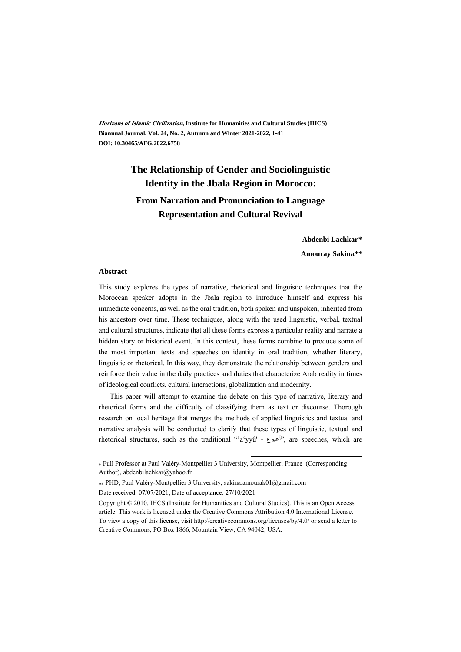**Horizons of Islamic Civilization, Institute for Humanities and Cultural Studies (IHCS) Biannual Journal, Vol. 24, No. 2, Autumn and Winter 2021-2022, 1-41 DOI: 10.30465/AFG.2022.6758**

# **The Relationship of Gender and Sociolinguistic Identity in the Jbala Region in Morocco: From Narration and Pronunciation to Language Representation and Cultural Revival**

**Abdenbi Lachkar\*\***

**Amouray Sakina\*\*†**

#### **Abstract**

This study explores the types of narrative, rhetorical and linguistic techniques that the Moroccan speaker adopts in the Jbala region to introduce himself and express his immediate concerns, as well as the oral tradition, both spoken and unspoken, inherited from his ancestors over time. These techniques, along with the used linguistic, verbal, textual and cultural structures, indicate that all these forms express a particular reality and narrate a hidden story or historical event. In this context, these forms combine to produce some of the most important texts and speeches on identity in oral tradition, whether literary, linguistic or rhetorical. In this way, they demonstrate the relationship between genders and reinforce their value in the daily practices and duties that characterize Arab reality in times of ideological conflicts, cultural interactions, globalization and modernity.

This paper will attempt to examine the debate on this type of narrative, literary and rhetorical forms and the difficulty of classifying them as text or discourse. Thorough research on local heritage that merges the methods of applied linguistics and textual and narrative analysis will be conducted to clarify that these types of linguistic, textual and rhetorical structures, such as the traditional "'a'yyû' - أعيوع", are speeches, which are

.

Date received: 07/07/2021, Date of acceptance: 27/10/2021

<sup>\*</sup> Full Professor at Paul Valéry-Montpellier 3 University, Montpellier, France (Corresponding Author), abdenbilachkar@yahoo.fr

PHD, Paul Valéry-Montpellier 3 University, sakina.amourak01@gmail.com

Copyright © 2010, IHCS (Institute for Humanities and Cultural Studies). This is an Open Access article. This work is licensed under the Creative Commons Attribution 4.0 International License. To view a copy of this license, visit http://creativecommons.org/licenses/by/4.0/ or send a letter to Creative Commons, PO Box 1866, Mountain View, CA 94042, USA.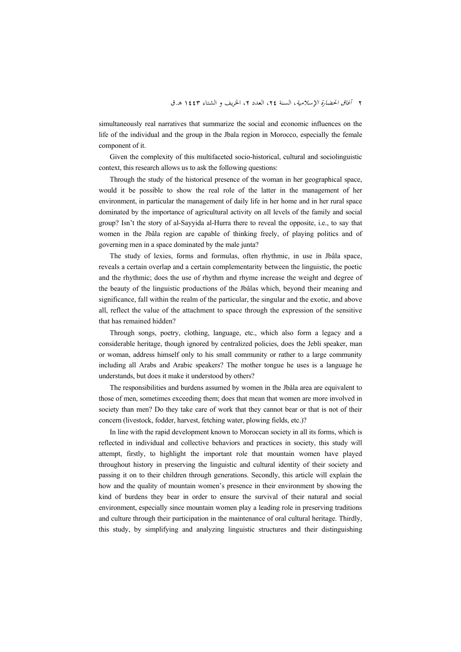simultaneously real narratives that summarize the social and economic influences on the life of the individual and the group in the Jbala region in Morocco, especially the female component of it.

Given the complexity of this multifaceted socio-historical, cultural and sociolinguistic context, this research allows us to ask the following questions:

Through the study of the historical presence of the woman in her geographical space, would it be possible to show the real role of the latter in the management of her environment, in particular the management of daily life in her home and in her rural space dominated by the importance of agricultural activity on all levels of the family and social group? Isn't the story of al-Sayyida al-Hurra there to reveal the opposite, i.e., to say that women in the Jbâla region are capable of thinking freely, of playing politics and of governing men in a space dominated by the male junta?

The study of lexies, forms and formulas, often rhythmic, in use in Jbâla space, reveals a certain overlap and a certain complementarity between the linguistic, the poetic and the rhythmic; does the use of rhythm and rhyme increase the weight and degree of the beauty of the linguistic productions of the Jbâlas which, beyond their meaning and significance, fall within the realm of the particular, the singular and the exotic, and above all, reflect the value of the attachment to space through the expression of the sensitive that has remained hidden?

Through songs, poetry, clothing, language, etc., which also form a legacy and a considerable heritage, though ignored by centralized policies, does the Jebli speaker, man or woman, address himself only to his small community or rather to a large community including all Arabs and Arabic speakers? The mother tongue he uses is a language he understands, but does it make it understood by others?

The responsibilities and burdens assumed by women in the Jbâla area are equivalent to those of men, sometimes exceeding them; does that mean that women are more involved in society than men? Do they take care of work that they cannot bear or that is not of their concern (livestock, fodder, harvest, fetching water, plowing fields, etc.)?

In line with the rapid development known to Moroccan society in all its forms, which is reflected in individual and collective behaviors and practices in society, this study will attempt, firstly, to highlight the important role that mountain women have played throughout history in preserving the linguistic and cultural identity of their society and passing it on to their children through generations. Secondly, this article will explain the how and the quality of mountain women's presence in their environment by showing the kind of burdens they bear in order to ensure the survival of their natural and social environment, especially since mountain women play a leading role in preserving traditions and culture through their participation in the maintenance of oral cultural heritage. Thirdly, this study, by simplifying and analyzing linguistic structures and their distinguishing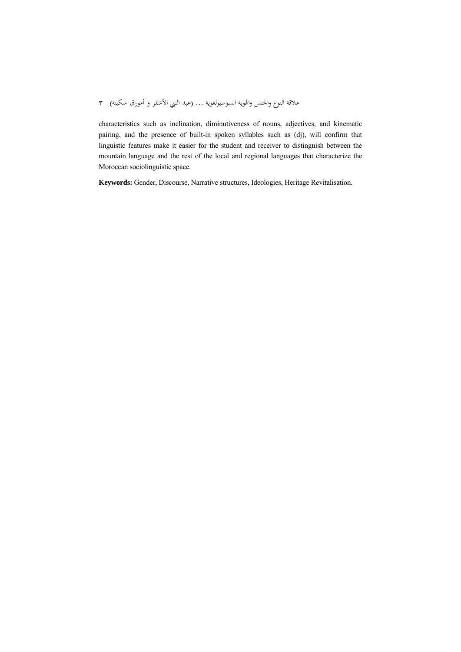characteristics such as inclination, diminutiveness of nouns, adjectives, and kinematic pairing, and the presence of built-in spoken syllables such as (dj), will confirm that linguistic features make it easier for the student and receiver to distinguish between the mountain language and the rest of the local and regional languages that characterize the Moroccan sociolinguistic space.

**Keywords:** Gender, Discourse, Narrative structures, Ideologies, Heritage Revitalisation.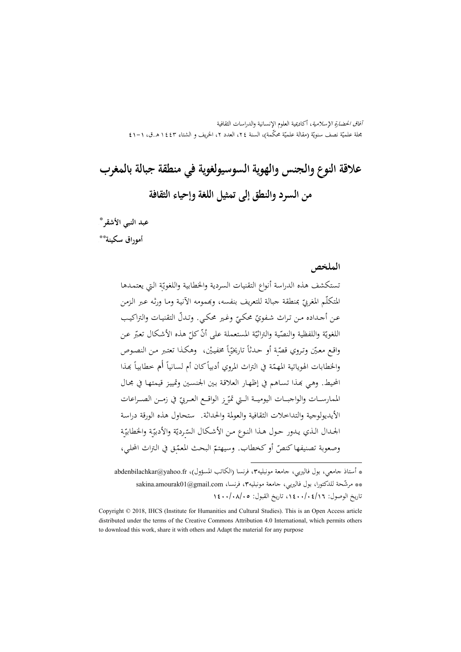آفاق الحضارة الإسلامية، أكاديمية العلوم الإنسانية والدراسات الثقافية بحلة علميّة نصف سنويّة (مقالة علميّة محکّمة)، السنة ٢٤، العدد ٢، الخريف و الشتاء ١٤٤٣ هـ.ق، ١–٤١

# **علاقة النوع والجنس والهوية السوسيولغوية في منطقة جبالة بالمغرب من السرد والنطق إلى تمثيل اللغة وإحياء الثقافة**

<sup>٣</sup> \* **عبد النبي الأشقر** <sup>4</sup> \*\* **أموراق سكينة**

**الملخص**

تستكشف هذه الدراسة أنواع التقنيات السردية والخطابية واللغويّة التي يعتمدها المتكلّم المغربيّ بمنطقة جبالة للتعريف بنفسه، وبممومه الأنيـة ومـا ورثـه عـبر الـزمن عـن أجـداده مـن تـراث شـفويّ محكيّ وغـير محكـي. وتـدلّ التقنيـات والتراكيـب اللغويّة واللفظية والنصّية والتراثيّة المستعملة على أنّ كلّ هذه الأشكال تعبّر عن<br>.  $\overline{a}$ واقع معيّن وتـروي قصّة أو حـدثاً تاريخيّاً مخفيـيْن، ۖ وهكـذا تعتبر مـن النصـوص  $\overline{a}$ والخطابات الهوياتية المهمّة في التراث المروي أدبياً كان أم لسانياً أم خطابياً بمذا المحيط. وهـي بِمذا تسـاهـم في إظهـار العلاقـة بـين الجنسـين وتمييـز قيمتهـا في مجـال الممارســات والواجبــات اليوميــة الــتي تميّــز الواقــع العــربيّ في زمــن الصــراعـات الأيديولوجية والتداخلات الثقافية والعولمة والحداثة. ستحاول هذه الورقة دراسـة الجـدال الـذي يـدور حـول هـذا النـوع مـن الأشكال السّرديّة والأدبيّة والخطابيّة وصعوبة تصنيفها كنصّ أو كخطاب. وسيهتمّ البحث المعمّق في التراث المحلي،

.

<sup>\*</sup> أستاذ جامعي، بول فاليريي، جامعة مونبليه،3 فرنسا (الکاتب المسؤول)، fr.yahoo@abdenbilachkar هه مرشّحة للدكتورا، بول فاليريي، جامعة مونبليه٬۳ فرنسا، sakina.amourak01@gmail.com تاريخ الوصول: ،1400/04/16 تاريخ القبول: 1400/08/05

Copyright © 2018, IHCS (Institute for Humanities and Cultural Studies). This is an Open Access article distributed under the terms of the Creative Commons Attribution 4.0 International, which permits others to download this work, share it with others and Adapt the material for any purpose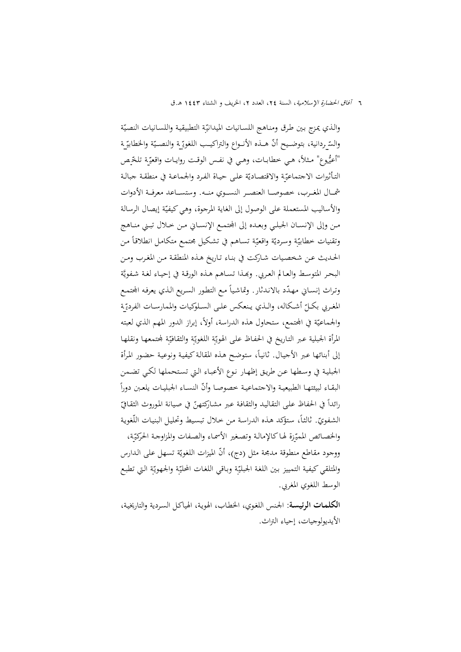والذي يمزج بين طرق ومناهج اللسـانيات الميدانيّة التطبيقية واللسـانيات النصيّة والسّـردانية، بتوضـيح أنّـ هــذه الأنــواع والتراكيــب اللغويّــة والنصــيّة والخطابيّــة<br>-ً "أعيُّـوع" مـثلاً، هـي خطابــات، وهـي في نفـس الوقـت روايــات واقعيّـة تلخّـص التـأثيرات الاجتماعيّة والاقتصـاديّة علـى حيـاة الفـرد والجماعـة في منطقـة جبالـة شمـــال المغـــرب، خصوصـــا العنصـــر النســـوي منـــه. وستســـاعد معرفـــة الأدوات والأساليب المستعملة على الوصول إلى الغاية المرجوة، وهي كيفيّة إيصال الرسالة مـن وإلى الإنســان الجبلـي وبعـده إلى المحتمــع الإنسـاني مـن خـلال تبـني منـاهج  $\overline{a}$ وتقنيات خطابيّة وسرديّة واقعيّة تساهم في تشكيل مجتمع متكامل انطلاقاً من الحـديث عـن شخصـيات شـاركت في بنـاء تـاريخ هـذه المنطقـة مـن المغـرب ومـن البحر المتوسط والعـالم العربي. وبَّمـذا تسـاهـم هـذه الورقـة في إحيـاء لغـة شـفويَّة وتراث إنسـاني مـهـدّد بالانـدثار. وتماشياً مـع التطور السـريع الـذي يعرفـه المجتمـع المغـربي بكــل أشـكاله، والـذي يـنعكس علـى السـلوكيات والممارسـات الفرديّـة والجماعيّة في المجتمع، ستحاول هذه الدراسة، أولاً، إبراز الدور المهم الذي لعبته المرأة الجبلية عبر التـاريخ في الحفـاظ علـى الهويّـة اللغويّـة والثقـافيّـة لمحتمعهـا ونقلهـا إلى أبنائها عبر الأجيال. ثانياً، ستوضح هذه المقالة كيفية ونوعية حضور المرأة الجبليـة في وسـطها عـن طريـق إظهـار نـوع الأعبـاء الـتي تسـتحملها لكـي تضـمن البقـاء لبيئتهـا الطبيعيـة والاجتماعيـة خصوصـا وأنّ النسـاء الجبليـات يلعـبن دوراً رائداً في الحفاظ على التقاليد والثقافة عبر مشاركتهنّ في صيانة الموروث الثقافيّ الشفويّ. ثالثاً، ستؤكد هـذه الدراسة من خلال تبسيط وتحليل البنيات اللّغوية والخصـائص المميّـزة لهـا كالإمالـة وتصـغير الأسمـاء والصفات والمزاوجـة الحركيّـة، ووجود مقاطع منطوقة مدمجة مثل (دج)، أنّ الميزات اللغويّة تسهل على الدارس والمتلقي كيفية التمييز بين اللغة الجبليّة وبـاقي اللغات المحليّة والجـهويّة التي تطبع الوسط اللغوي المغربي.

**الكلمـات الرئيسـة**: الجـنس اللغـوي، الخطـاب، الهويـة، الهياكـل السـردية والتاريخيـة، الأيديولوجيات، إحياء التراث.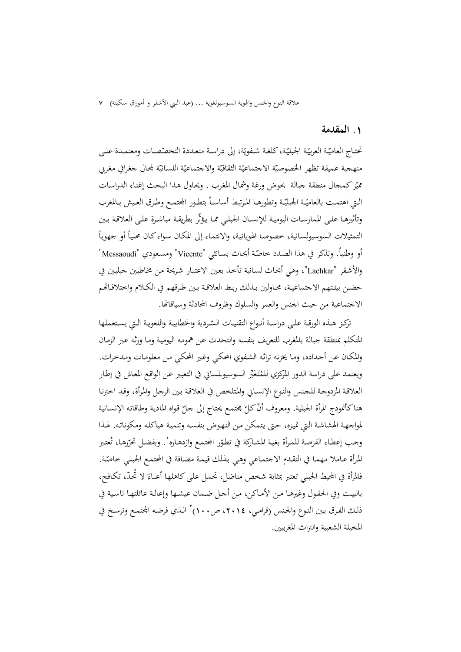### **.**1 **المقدمة**

تحتــاج العاميّـة العربيّـة الجبليّـة، كلغـة شـفويّة، إلى دراسـة متعـددة التخصّصـات ومعتمـدة علـى منهجية عميقة تظهر الخصوصيّة الاجتماعيّة الثقافيّة والاجتماعيّة اللسانيّة لمجال جغرافي مغربي ممّيز كمحال منطقة جبالة بحوض ورغة وشمال المغرب . ويحاول هذا البحث إغناء الدراسات  $\overline{a}$ الـتي اهتمـت بالعاميّـة الجبليّـة وتطورهـا المـرتبط أساسـاً بتطـور المجتمـع وطـرق العـيش بـالمغرب وتأثيرهــا علــى الممارســات اليوميــة للإنســان الجبلــي ممــا يــؤثّر بطريقــة مباشــرة علــى العلاقــة بــين التمثيلات السوسيولسانية، خصوصا الهوياتية، والانتماء إلى المكان سواء كان محلياً أو جهوياً أو وطنياً. ونذكر في هذا الصدد خاصّة أبحاث بسـانثي "Vicente" ومسعودي "Messaoudi" والأشـقر "Lachkar"، وهـي أبحـاث لسـانية تأخـذ بعـين الاعتبـار شـريحة مـن مخـاطبين جبليـين في حضـن بيئتهم الاجتماعيـة، محـاولين بـذلك ربـط العلاقـة بـين طـرقهم في الكـلام واختلافـاتهم الاجتماعية من حيث الجنس والعمر والسلوك وظروف المحادثة وسياقاēا.

تركـز هــذه الورقـة علـى دراسـة أنـواع التقنيـات السّـردية والخطابيـة واللغويـة الـتي يسـتعملها المتكلم بمنطقة جبالة بالمغرب للتعريف بنفسه والتحدث عـن همومـه اليوميـة ومـا ورثـه عـبر الزمـان والمكـان عـن أجـداده، ومـا يخزنـه تراثـه الشـفوي المحكـي وغـير المحكـي مـن معلومـات ومـدخرات. ويعتمد على دراسة الدور المركزي للمُتَغَيِّر السوسيولمساني في التعبير عن الواقع المعاش في إطـار العلاقـة المزدوجـة للجـنس والنـوع الإنسـاني والمـتلخص في العلاقـة بـين الرجـل والمـرأة، وقـد اخترنـا هنا كأنمودج المرأة الجبلية. ومعروف أنّ كلّ مجتمع يحتاج إلى جلّ قواه المادية وطاقاته الإنسـانية لمواجهـة الهشاشـة الـتي تميـزه، حـتى يـتمكن مـن النهـوض بنفسـه وتنميـة هياكلـه ومكوناتـه. لهـذا وجب إعطاء الفرصة للمرأة بغية المشاركة في تطوّر المحتمع وازدهـاره' . وبفضل تحرّرهـا، تُعتبر المرأة عـاملا مهمـا في التقـدم الاجتمـاعي وهـي بـذلك قيمـة مضـافة في المحتمـع الجبلـي خـاصّة. فالمرأة في المحيط الجبلي تعتبر بمثابة شخص مناضل، تحمل علـى كاهلهـا أعبـاءً لا تحدّ، تكـافح، بالبيـت وفي الحقـول وغيرهـا مـن الأمـاكن، مـن أجـل ضـمان عيشـها وإعالـة عائلتهـا ناسـية في ذلك الفرق بين النوع والجنس (قرامي، ٢٠١٤، ص١٠٠) الذي فرضه المجتمع وترسخ في المخيلة الشعبية والتراث المغربيين.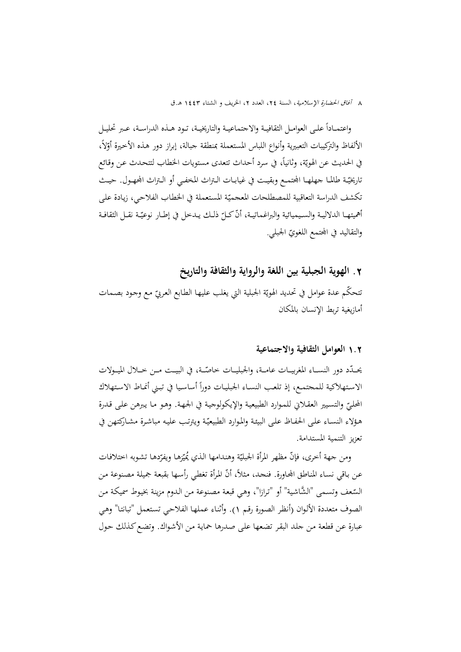واعتمــادا علــى العوامــل الثقافيــة والاجتماعيــة والتاريخيــة، تــود هــذه الدراســة، عــبر تحليــل ً ً الألفاظ والتركيبات التعبيرية وأنواع اللباس المستعملة بمنطقة جبالة، إبراز دور هـذه الأخيرة أوّلاً،  $\frac{1}{2}$ في الحديث عن الهويّة، وثانياً، في سرد أحداث تتعدى مستويات الخطاب لتتحدث عن وقائع ناريخيّـة طالمــا جهلهــا المجتمـع وبقيـت في غيابــات الـتراث المخفـي أو الـتراث المجهـول. حيــث نكشف الدراسة التعاقبية للمصطلحات المعجميّة المستعملة في الخطاب الفلاحي، زيادة على أهميتهـا الدلاليـة والسـيميائية والبراغماتيـة، أنّ كـلّ ذلـك يـدخل في إطـار نوعيّـة نقـل الثقافـة<br>. والتقاليد في المجتمع اللغويّ الجبلي.

## **.**2 **الهوية الجبلية بين اللغة والرواية والثقافة والتاريخ**

نتحكّم عدة عوامل في تحديد الهويّة الجبلية التي يغلب عليها الطابع العربيّ مع وجود بصمات أمازيغية تربط الإنسان بالمكان

## 1**.**2 **العوامل الثقافية والاجتماعية**

يحــدّد دور النســاء المغربيــات عامــة، والجبليــات خاصّــة، في البيــت مــن خــلال الميــولات الاستهلاكية للمجتمع، إذ تلعب النسـاء الجبليـات دوراً أساسيا في تبـني أنمـاط الاستهلاك المحليّ والتسيير العقلاني للموارد الطبيعية والإيكولوجية في الجهـة. وهـو مـا يبرهن علـى قـدرة هؤلاء النسـاء علـى الحفـاظ علـى البيئـة والمـوارد الطبيعيّـة ويترتب عليـه مباشـرة مشـاركتهن في تعزيز التنمية المستدامة.

ومن جهة أخرى، فإنّ مظهر المرأة الجبليّة وهندامها الذي يُميّزها ويفرّدها تشوبه اختلافات<br>-عن بـاقي نسـاء المنـاطق المحـاورة. فنجـد، مثلاً، أنّ المرأة تغطي رأسـها بقبعة جميلة مصنوعة مـن السّعف وتسمى "الشَّاشية" أو "ترازا"، وهي قبعة مصنوعة من الدوم مزينة بخيوط سميكة من الصوف متعددة الألـوان (أنظـر الصـورة رقـم 1). وأثنـاء عملهـا الفلاحـي تسـتعمل "تبانتـا" وهـي عبارة عـن قطعـة مـن جلـد البقـر تضـعها علـى صـدرها حمايـة مـن الأشـواك. وتضـعكـذلك حـول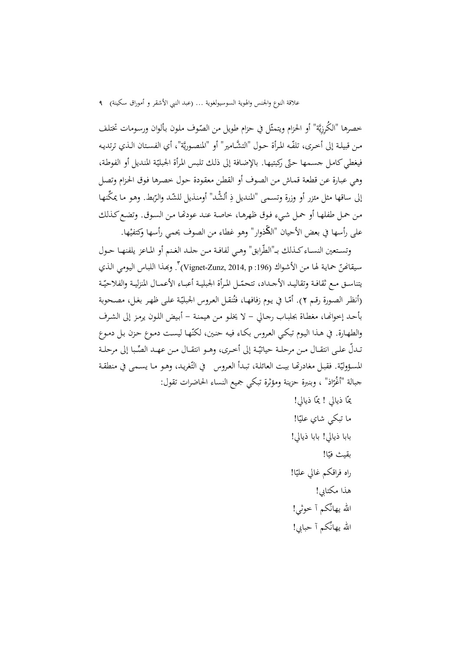خصرها "الكُرِزِيَّة" أو الحزام ويتمثّل في حزام طويل من الصّوف ملون بألوان ورسومات تختلف مـن قبيلـة إلى أخـرى، تلفّـه المرأة حـول "التشّـامير" أو "المنصـوريَّة"، أي الفسـتان الـذي ترتديـه فيغطي كامل جسمها حتّى ركبتيها. بالإضافة إلى ذلك تلبس المرأة الجبليّة المنديل أو الفوطة، وهي عبـارة عـن قطعـة قمـاش مـن الصـوف أو القطـن معقـودة حـول خصـرها فـوق الحـزام وتصـل إلى ساقها مثل مئزر أو وزرة وتسمى "المنديل ذِ ألشَّد" أومنذيل للشّد والرّبط. وهو ما يمكَّنها من حمل طفلهـا أو حمل شييء فوق ظهرهـا، خاصـة عنـد عودتّما مـن السـوق. وتضع كـذلك على رأسها في بعض الأحيان "الڭذوار" وهو غطاء من الصوف يحمي رأسها وكتفيْها.

وتستعين النسـاء كـذلك بـ"الطّرابق" وهـي لفافـة مـن حلـد الغـنم أو المـاعز يلفنهـا حـول سيقانحنّ حماية لهـا من الأشـواك (196: Vignet-Zunz, 2014, p) ". وبحذا اللبـاس اليومي الـذي يتناسـق مـع ثقافـة وتقاليـد الأجـداد، تتحمّـل المرأة الجبليـة أعبـاء الأعمـال المنزليـة والفلاحيّـة (أنظر الصورة رقـم ٢). أمّـا في يوم زفافهـا، فتُنقـل العروس الجبليّـة علـى ظهـر بغـل، مصـحوبة بأحـد إخواĔـا، مغطـاة بجلبـاب رجـالي - لا يخلـو مـن هيمنـة - أبـيض اللـون يرمـز إلى الشـرف والطهـارة. في هـذا اليوم تبكـي العروس بكـاء فيـه حنـين، لكنّهـا ليسـت دمـوع حـزن بـل دمـوع تـدلّ علـى انتقـال مـن مرحلـة حياتيّـة إلى أخـرى، وهـو انتقـال مـن عهـد الصِّبا إلى مرحلـة المسؤوليّة. فقبل مغادرتّما بيت العائلة، تبـدأ العروس في التّغريد، وهـو مـا يسـمى في منطقـة جبالة "أغْرّاذ" ، وبنبرة حزينة ومؤثرة تبكي جميع النساء الحاضرات تقول:

> بمّا ذيالي ! يمّا ذيالي!<br>. ما تبكي شاي عليّا! بابا ذيالي! بابا ذيالي! بقيث فيّا! راه فراقكم غالي عليّا! هذا مكتابي! االله يهانِّكم آ خوثي! االله يهانِّكم آ حبابي!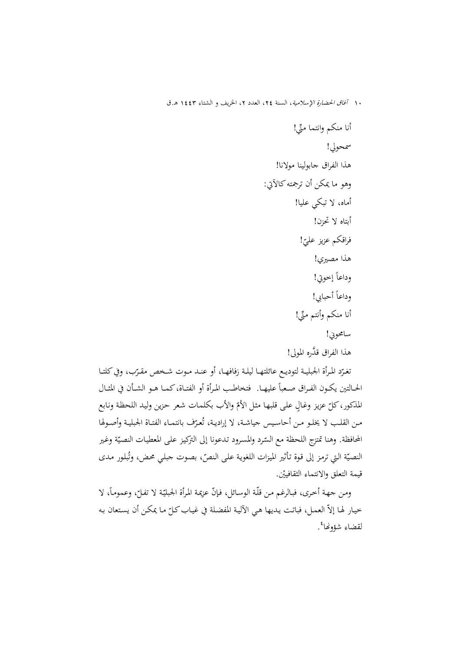أنا منكم وانتما ِّمني! سمحولي! هذا الفراق جابولينا مولانا! وهو ما يمكن أن ترجمتهكالآتي: أماه، لا تبكي عليا! أبتاه لا تحزن! ! فراقكم عزيز علي ّ هذا مصيري! وداعا ً إخوتي! وداعا ً أحبابي! أنا منكم وأنتم ِّمني! سامحوني! هذا الفراق َّقدره المولى!

نغـرّد المرأة الجبليـة لتوديـع عائلتهـا ليلـة زفافهـا، أو عنــد مـوت شـخص مقـرّب، وفي كلتـا الحــالتين يكــون الفــراق صـعباً عليهــا. فتخاطـب المـرأة أو الفتــاة،كمــا هــو الشــأن في المثــال المذكور، كلّ عزيز وغالٍ على قلبها مثل الأمّ والأب بكلمات شعر حزين وليد اللحظة ونابع مـن القلـب لا يخلـو مـن أحاسـيس جياشـة، لا إراديـة، تُعـرّف بانتمـاء الفتـاة الجبليـة وأصـولها المحافظة. وهنا تمتزج اللحظة مع السّرد والمسرود تدعونا إلى التركيز على المعطيات النصيّة وغير النصيّة التي ترمز إلى قوة تأثير الميزات اللغوية على النصّ، بصوت جبلي محض، وتُبلور مدى قيمة التعلق والانتماء الثقافييْن.

 $\overline{\phantom{a}}$ ومن جهـة أخـرى، فبـالرغم مـن قلّـة الوسـائل، فـإنّ عزيمـة المرأة الجبليّـة لا تفـلّ، وعـمومـاً، لا خيار لها إلاّ العمل، فباتت يديها هي الآلية المفضلة في غياب كلّ ما يمكن أن يستعان به<br>. لقضاء شؤونها<sup>ء</sup>ُ.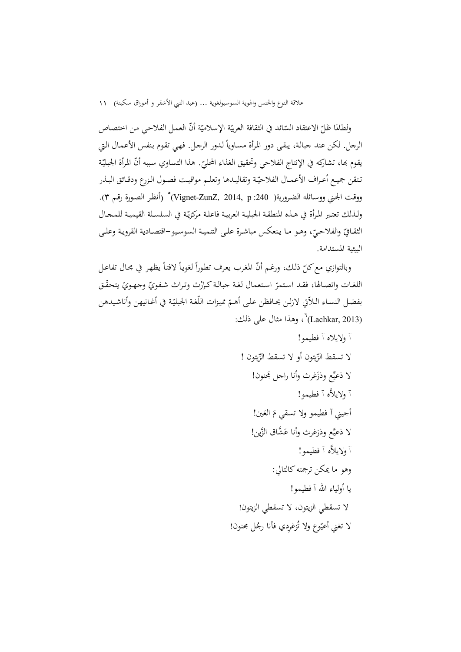ولطالما ظلّ الاعتقاد السّائد في الثقافة العربيّة الإسلاميّة أنّ العمل الفلاحي من اختصاص<br>-الرجل. لكن عند جبالـة، يبقـى دور المـرأة مسـاويا لـدور الرجـل. فهـي تقـوم بـنفس الأعمـال الـتي ً يقوم بها، تشاركه في الإنتاج الفلاحي وتحقيق الغذاء المحليّ. هذا التساوي سببه أنّ المرأة الجبليّة<br>-تـتقن جميـع أعـراف الأعمــال الفلاحيّـة وتقاليـدها وتعلـم مواقيـت فصـول الـزرع ودقـائق البـذر (أنظـر الصـورة رقـم 3). <sup>5</sup> ووقـت الجـني ووسـائله الضـرورية( :240 p 2014, ,ZunZ-Vignet( ولـذلك تعتـبر المـرأة في هـذه المنطقـة الجبليـة العربيـة فاعلـة مركزيّـة في السلسـلة القيميـة للمـحـال الثقـافيّ والفلاحيّ، وهـو مـا ينعكس مباشرة علـى التنميـة السوسيو–اقتصـادية القرويـة وعلـى البيئية المستدامة.

وبالتوازي مع كلّ ذلك، ورغـم أنّ المغرب يعرف تطوراً لغوياً لافتاً يظهر في مجـال تفاعـل اللغات واتصالها، فقـد استمرّ استعمال لغة جبالـة كـإرْث وتراث شـفويّ وجهـويّ يتحقّق بفضل النسـاء اللاّتي لازلـن يحـافظن علمى أهـمّ مميزات اللّغة الجبليّة في أغـانيهن وأناشـيدهن (Lachkar, 2013) <sup>6</sup> ، وهذا مثال على ذلك:

> آ ولايلاه آ فطيمو! لا تسقط الزّيتون أو لا تسقط الزّيتون ! لا ذعيِّع وذزَغرث وأنا راجل مجَنون! َّه آ فطيمو! آ ولايلا أجيني آ فطيمو ولا تسقي مَ العَين! لا ذعيَّع وذزغرث وأنا عَشَّاق الزَّين! َّه آ فطيمو! آولايلا وهو ما يمكن ترجمته كالتالي: يا أولياء االله آ فطيمو! لا تسقطي الزيتون، لا تسقطي الزيتون! لا تغني أعيّوع ولا تُزغرِدي فأنا رجُل مجنون!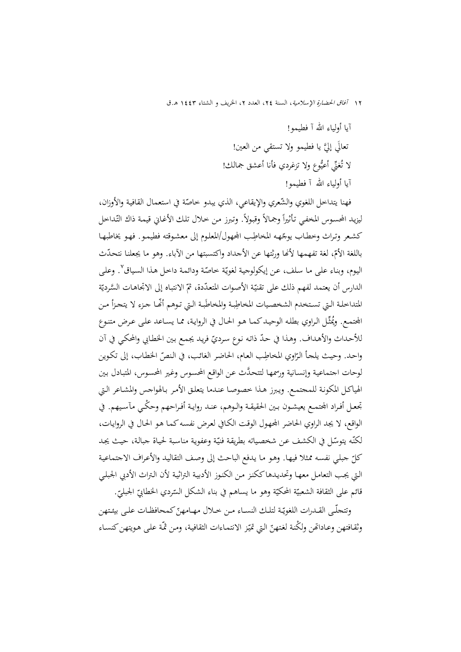آيا أولياء االله آ فطيمو! تعالَى إليَّ يا فطيمو ولا تستقي من العين! لا تُغنِّي أعيُوع ولا تزغردي فأنا أعشق جمالك! آيا أولياء االله آ فطيمو!

فهنا يتداخل اللغوي والشّعري والإيقاعي، الذي يبدو خاصّة في استعمال القافية والأوزان،  $\overline{a}$ ليزيد المحسوس المخفي تأثيراً وجمالاً وقبولاً. وتبرز من خلال تلك الأغاني قيمة ذاك التّداخل .<br>ا ِ كشعر وتراث وخطـاب يوجّهـه المخاطِب المجهول/المعلـوم إلى معشـوقته فطيمـو . فهـو يخاطبهـا باللغة الأمّ، لغة تفهمها لأنّها ورثتها عن الأجداد واكتسبتها من الأباء. وهو ما يجعلنا نتحدّث اليوم، وبناء على ما سلف، عن إيكولوجية لغويّة خاصّة ودائمة داخل هذا السياق<sup>٬</sup>. وعلى الدارس أن يعتمد لفهم ذلك على تقنيّة الأصوات المتعدّدة، ثمّ الانتباه إلى الاتجاهات السَّرديّة المتداخلة التي تستخدم الشخصيات المخاطِبة والمخاطَبة التي توهم أنَّما جزء لا يتحزأ من المجتمع. ويُمثِّل الراوي بطله الوحيد كما هو الحال في الرواية، مما يساعد على عرض متنوع للأحداث والأهداف. وهـذا في حدّ ذاتـه نوع سرديّ فريد يجمع بين الخطـابي والمحكي في آن واحد. وحيث يلجأ الرّاوي المخاطِب العام، الحاضر الغائب، في النصّ الخطاب، إلى تكوين لوحات اجتماعيـة وإنسـانية ورسمهـا َّ لتتحـدث عـن الواقـع المحسـوس وغـير المحسـوس، المتبـادل بـين الهياكـل المكونـة للمجتمـع. ويـبرز هـذا خصوصـا عنـدما يتعلـق الأمـر بـالهواجس والمشـاعر الـتي تجعـل أفـراد الجتمـع يعيشـون بـين الحقيقـة والـوهم، عنـد روايـة أفـراحهم وحكْـي مآسـيهم. في الواقع، لا يجد الراوي الحاضر المجهول الوقت الكـافي لعرض نفسه كمـا هـو الحـال في الروايـات، لكنّه يتوسّل في الكشف عن شخصياته بطريقة فنيّة وعفوية مناسبة لحياة جبالة، حيث يجد كل جبلـي نفسـه ممـثلا فيهـا. وهـو مـا يـدفع الباحـث إلى وصـف التقاليـد والأعـراف الاجتماعيـة ّ الـتي يجـب التعامـل معهـا وتحديـدهاككنـز مـن الكنـوز الأدبيـة التراثيـة لأن الـتراث الأدبي الجبلـي قائم على الثقافة الشعبيّة المحكيّة وهو ما يساهم في بناء الشكل السّردي الخطابيّ الجبليّ.<br>-

ّ تتجلّــى القــدرات اللغوي هــام كمحافظــات علــى بيئــتهن ّ و ــة لتلــك النســاء مــن خــلال م هن وثقـافتهن وعـاداتهن ولكنة لغتهنّ التي تميّـز الانتمـاءات الثقافية، ومن ثمّـة علمى هـويتهن كنسـاء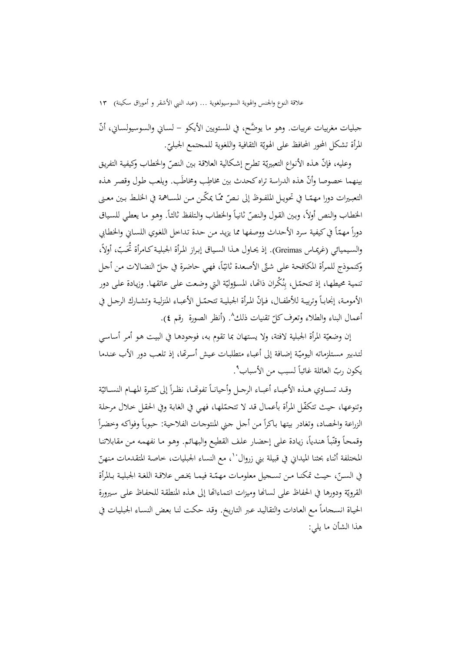جبليات مغربيات عربيات. وهو ما يوضَّح، في المستويين الأيكو – لسـاني والسوسيولسـاني، أنَّ المرأة تشكل المحور المحافظ على الهويّة الثقافية واللغوية للمجتمع الجبليّ.

وعليه، فإنّ هذه الأنواع التعبيريّة تطرح إشكالية العلاقة بين النصّ والخطاب وكيفية التفريق بينهما خصوصا وأنّ هذه الدراسة تراه كحدث بين مخاطِب ومخاطَب. ويلعب طول وقصر هذه التعبـيرات دورا مهمّــا في تحويــل الملفـوظ إلى نـصّ ممّـا يمكّـن مـن المســاهمة في الخلـط بـين معـنى .<br>ا الخطاب والنص أولاً، وبين القول والنصّ ثانياً والخطاب والتلفظ ثالثاً. وهو ما يعطي للسياق دوراً مهمّاً في كيفية سرد الأحداث ووصفها مما يزيد من حدة تداخل اللغوي اللسـاني والخطـابي<br> ً والسـيميائي (غريمـاس Greimas). إذ يحـاول هـذا السـياق إبـراز المـرأة الجبليـة كـامرأة تحَـبّ، أولاً،  $\overline{\phantom{a}}$ وكنموذج للمرأة المكافحة على شتّى الأصعدة ثانيّاً، فهي حاضرة في حلّ النضالات من أحل<br>. تنمية محيطهـا، إذ تتحمّل، بِنُكران ذاتّها، المسؤوليّة التي وضعت على عاتقهـا. وزيادة على دور ن ِ الأمومــة، إنجـابــأ وتربيــة للأطفــال، فـإنّ المـرأة الجبليــة تتحمّــل الأعبــاء المنزليـة وتشــارك الرجــل في أعمال البناء والطلاء وتعرف كلّ تقنيات ذلك^. (أنظر الصورة رقم ٤).<br>.

إن وضعيّة المرأة الجبلية لافتة، ولا يستهان بما تقوم به، فوجودهـا في البيت هـو أمـر أساسـي لتـدبير مستلزماته اليوميّة إضافة إلى أعبـاء متطلبـات عيش أسرتّما، إذ تلعب دور الأب عنـدما يكون ربّ العائلة غائباً لسبب من الأسباب".

وقــد تســاوي هــذه الأعبــاء أعبــاء الرجــل وأحيانــاً تفوقــا، نظـراً إلى كثــرة المهــام النســائيّة وتنوعها، حيث تتكفّل المرأة بأعمال قد لا تتحمّلها، فهي في الغابة وفي الحقل حلال مرحلة ا<br>ا الزراعة والحصاد، وتغادر بيتها باكراً من أجل جني المنتوجات الفلاحية: حبوباً وفواكه وخضراً وقمحاً وقنّباً هندياً، زيادة على إحضار علف القطيع والبهائم. وهو ما نفهمه من مقابلاتنا المختلفة أثناء بحثنا الميداني في قبيلة بني زروال<sup>١٠</sup>، مع النساء الجبليات، خاصة المتقدمات منهنّ في السـنّ، حيـث تمكنـا مـن تسـحيل معلومـات مهمّـة فيمـا يخـص علاقـة اللغـة الجبليـة بـالمرأة القرويّة ودورها في الحفاظ على لسانها وميزات انتماءاتها إلى هذه المنطقة للحفاظ على سيرورة الحيـاة انسـجاما مـع العـادات والتقاليـد عـبر التـاريخ. وقـد حكـت لنـا بعـض النسـاء الجبليـات في ً هذا الشأن ما يلي: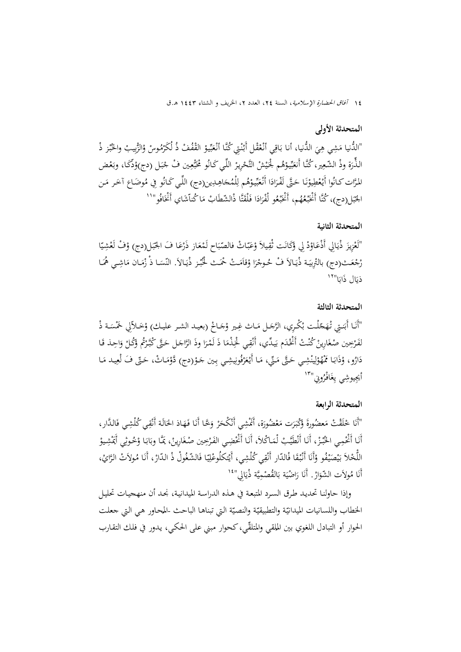### **المتحدثة الأولى**

"الدُّنيا مَشِي هِيَ الدُّنيا، أنا بَاقِي أَنْعْقْل أَبْنْتِي كُنَّا أَنْعَبِّيوْ القْفُفْ ذُ لُكَرْمُوسْ وْالزُّبِيبْ والخُبْز ذْ<br>" ب َ ن .<br>. ب ر<br>. الذَّرَة وذْ الشَّعِير، كُنَّـا أَنعَبِّيوْهُم لْحَيْشْ التَّحْرِيرْ اللِّي كَـانُو مْخَبْعِين فْ جْبَل (دج)وْدَّكَا، وبَعْض<br>. ب ْ ب <u>:</u> ْ َ ب َ َ با<br>أ المَّرَّات كانُوا أَيْعْطِيوْنَا حَتَّى لَفْرَادَا أَنْعَيِّيوْهُم لِلْمُجَاهِدِين(دج) اللِّي كَانُو فِي مُوضَاع آخَر مَن<br>. .<br>ا بر<br>بد َ ا<br>ا ن ،<br>' الجّبَل(دج)، كُنَّا أَغْبَّعُهُم، أَغْبَّعُو لْفْرَادَا فَلْقَتَّا ذْالشّطَابْ مَا كُناّشَاي أَغْنَافُو"<sup>١١</sup><br>. ب  $\overline{\phantom{a}}$  $\ddot{\phantom{0}}$ ِ:<br>: ؚۣ<br>:

### **المتحدثة الثانية**

<u>:</u> "لَعْزِيزَ ذْيَالِي أَذْعَاوْدْ لِي وْكَانَت ثْقِيلاً وْعَبّاتْ فالصّبَاح لَمْعَاز ذَرْعَا فَ الجّبَل(دج) وْفْ لَعْشِيّا .<br>ا ب َ ب رْجْعَـتْ(دج) بالتْرِبيَـة ذْيَـالاَ فْ حُـوجْرَا وْقَامَـتْ حْمَـتْ لْخُبْـز ذْيَـالاَ. النّسَـا ذْ زْمَـان مَاشِـي هُمَـا ب َ ذيَال ذَابَا"<sup>١٢</sup>

### **المتحدثة الثالثة**

"أَنَا أَبَنتِي تْهَجّلْت بْكْرِي، الرَّجَل مَـاث غِير وْجَـاحْ (بعيـد الشـر عليـك) وْخَـلاّلِي خَمْسَـة ذْ<br>" لفَرْجِين صْغَارِينْ كُنْتْ أَغْْدَم بَيدِّي، أَنْقِي لْخِذْمَا ذَ لَمْرَا وذَ الرَّاجَل حَتَّى كُبَّرْتُم وْكُلْ وَاحِذ قَا َ  $\overline{\phantom{a}}$ <u>:</u> دَارُو، وْذَابَا مْمْهُوْلِينْشِي حَتَّى مَنِّي، مَا أَيْعَرْفُونِيشِي بِين جَوْ(دج) دَّوْمَاتْ، حَتّى فَ لْعِيد مَا <u>ّ</u> َ ل <u>ٔ</u> .<br>ا .<br>أ أيجِيوشِي يِغَافْرُونِي''<sup>۱۳</sup>'

### **المتحدثة الرابعة**

"أَنَا خْلَقْتْ مَعضُورةَ وَكْبَرَت مَعْضُورَة، أَمَّشِي أَنْكْحَرْ وَخَّا أَنَا فَهَاذ الحَالَة أَنْقِي كُلْشِي فَالدَّار،<br>مستقى التَّامِينِ َ  $\overline{\phantom{a}}$ **ٔ** نا<br>ا أَنَا أَنْخْمِي الخُبْرْ، أَنَا أَنْطَيَّبْ لْمَاكْلاَ، أَنَا أَنْحْضِي الفَرْحِين صْغَارِينْ، يَمَّا وبَابَا وْخُوثِي أَيَمْشِيوْ<br>\* با<br>. با<br>. اللَّحْلاَ بَيْصَيْفُو وْأَنَا أَنْبْقَا فْالدّار أَنْقِي كُلْشِي، أَيْتكلُوعْلِيّا فَالشَّغُولْ ذْ الدّارْ، أَنَا مُولاَتْ الرَّايْ، ي ؚ<br>ا **ٔ** :<br>نا <u>ٔ</u>  $\overline{a}$ ي ِّب أَنَا مُولاَت الشّوَارْ. أَنَا رَاضْيَة بَالقُصْمِيَّة ذْيَالِي"<sup>١٤</sup> ِ<br>با ي ِ **ٔ** ُنا ُنا

وإذا حاولنـا تحديـد طـرق السـرد المتبعـة في هـذه الدراسـة الميدانيـة، نجـد أن منهجيـات تحليـل الخطاب واللسانيات الميدانيّة والتطبيقيّة والنصيّة التي تبناهـا الباحث -المحاور هي التي جعلت<br>ولما يأسلله المالك الحوار أو التبادل اللغوي بين الملقي والمتلقّي، كحوار مبني على الحكي، يـدور في فلك التقـارب<br>.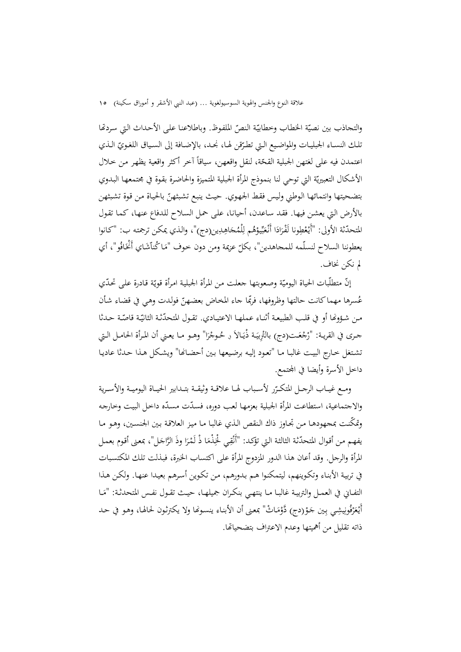والتجاذب بين نصيّة الخطاب وخطابيّة النصّ الملفوظ. وباطلاعنا على الأحداث التي سردقما تلك النسـاء الجبليـات والمواضـيع الـتي تطـرّقن لهـا، نجـد، بالإضـافة إلى السـياق اللغـويّ الـذي اعتمدن فيه على لغتهن الجبلية القحّة، لنقل واقعهن، سياقاً آخر أكثر واقعية يظهر من خلال الأشكال التعبيريّة التي توحي لنا بنموذج المرأة الجبلية المتميزة والحاضرة بقوة في مجتمعها البدوي بتضحيتها وانتمائها الوطني وليس فقط الجهوي. حيث ينبع تشبثهنّ بالحياة من قوة تشبثهن بالأرض الـتي يعشـن فيهـا. فقـد سـاعدن، أحيانـا، علـى حمـل السـلاح للـدفاع عنهـا، كمـا تقـول المتحدّثة الأولى: "أَيْعْطِونا لَفْرَادَا أَنْعَبِّيوْهُم لِلْمُحَاهِدِين(دج)"، والذي يمكن ترجمته ب: "كانوا<br>. ِ ب َ ا<br>ا يعطوننا السلاح لنسلّمه للمحاهدين"، بكلّ عزيمة ومن دون خوف "مَا كُنلّشَاي أَنْخَافُو"، أي  $\overline{\phantom{a}}$ لم نكن نخاف.

إنّ متطلّبات الحياة اليوميّة وصعوبتها جعلت من المرأة الجبلية امرأة قويّة قادرة على تحدّي عُسرها مهماكانت حالتها وظروفها، فربَّا جاء المخاض بعضهنّ فولدت وهي في قضاء شأن مـن شـؤوفـا أو في قلـب الطبيعـة أثنـاء عملهـا الاعتيــادي. تقـول المتحدّثـة الثانيّـة قاصّـة حـدثا جـرى في القريـة: "رْجْعَـت(دج) بالتْرِبيَـة ذْيَـالاَ و حُـوجْرَا" وهـو مـا يعـني أن المـرأة الحامـل الـتي تشـتغل خـارج البيـت غالبـا مـا "تعـود إليـه برضـيعها بـين أحضـاĔا" ويشـكل هـذا حـدثا عاديـا داخل الأسرة وأيضا في المحتمع.

ومـع غيــاب الرجــل المتكـرّر لأسـباب لهـا علاقـة وثيقــة بتــدابير الحيــاة اليوميــة والأسـرية والاجتماعية، استطاعت المرأة الجبلية بعزمها لعب دوره، فسدّت مسدّه داخل البيت وخارجه ّ وتمكنـت بمجهودهـا مـن تجـاوز ذاك الـنقص الـذي غالبـا مـا ميـز العلاقـة بـين الجنسـين، وهـو مـا يفهم من أقوال المتحدّثة الثالثة التي تؤكد: "أَنْقِي لْخِذْمَا ذْ لَمْرَا وذَ الرَّاجَل"، بمعنى أقوم بعمل َ  $\overline{\phantom{a}}$ ِ المرأة والرجل. وقد أعان هذا الدور المزدوج المرأة على اكتساب الخبرة، فبـذلت تلـك المكتسـبات في تربيـة الأبنـاء وتكـوينهم، ليتمكنـوا هـم بـدورهم، مـن تكـوين أسـرهم بعيـدا عنهـا. ولكـن هـذا التفــاني في العمــل والتربيــة غـالبــا مــا ينتهـي بنكـران جميلهــا، حيــث تقــول نفـس المتحدثـة: "مَــا أَيْعَرْفُونِيشِي بِين جَوْ(دج) دَّوْمَاتْ" بمعنى أن الأبناء ينسونَّا ولا يكترثون لحالها، وهـو في حد ْ َ ذاته تقليل من أهميتها وعدم الاعتراف بتضحياēا.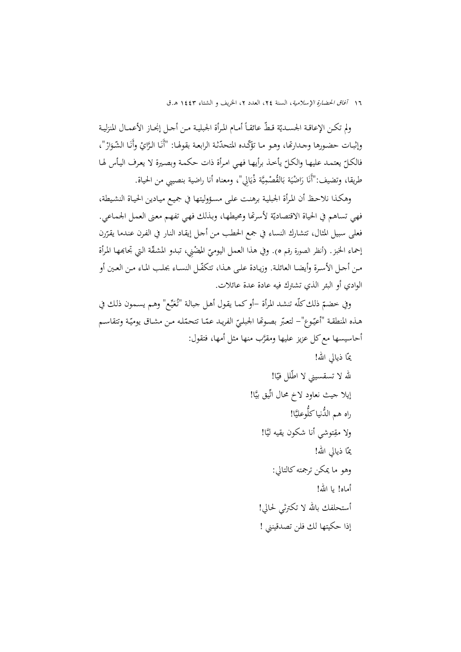$\overline{a}$ ولم تكـن الإعاقـة الجسـديّة قـطّ عائقـاً أمـام المـرأة الجبليـة مـن أحـل إنجـاز الأعمـال المنزليـة<br>. وإثبـات حضـورها وجـدارتما، وهـو مـا تؤكّـده المتحدّثة الرابعـة بقولهـا: "أَنَـا الـرَّايْ وأَنَـا الشّـوَارْ"، فالكـلّ يعتمـد عليهـا والكـلّ يأخـذ برأيهـا فهـي امـرأة ذات حكمـة وبصـيرة لا يعـرف اليـأس لهـا<br>. طريقا، وتضيف:"أَنَا رَاضْيَة بَالقُصْمِيَّة ذْيَالِي"، ومعناه أنا راضية بنصيبي من الحياة. ب<br>: ي ِ .<br>:

وهكـذا نلاحـظ أن المـرأة الجبليـة برهنـت علـى مسـؤوليتها في جميـع ميـادين الحيـاة النشـيطة، فهي تساهم في الحياة الاقتصاديّة لأسرهًا ومحيطها، وبذلك فهي تفهم معنى العمل الجماعي. فعلى سبيل المثال، تتشارك النساء في جمع الحطب من أحل إيقاد النار في الفرن عندما يقرّرن<br>. إحماء الخبز. (أنظر الصورة رقم ٥). وفي هذا العمل اليوميّ المضْنِي، تبدو المشقّة التي تجابمها المرأة<br>. مـن أجـل الأسـرة وأيضـا العائلـة. وزيـادة علـى هـذا، تتكفّـل النسـاء بجلـب المـاء مـن العـين أو الوادي أو البئر الذي تشترك فيه عادة عدة عائلات.

وفي خضمّ ذلك كلّه تنشد المرأة –أو كما يقول أهل جبالة "تُعَيِّع" وهـم يسـمون ذلك في هـذه المنطقـة "أعيّـوع"– لتعبّر بصـوتّما الجبليّ الفريـد عمّـا تتحمّله مـن مشـاق يوميّـة وتتقاسـم<br>. أحاسيسها مع كل عزيز عليها ومقرَّب منها مثل أمها، فتقول:

ا ذيالي االله! يم ّ ّلل ا! في ّ الله لا تسقسيني لا اط إيلا جيث نعاود لاخ محال اتِّيق بي َّا! َّا! وعلي ُّ الدنياكل ُّ راه هم َّا! ولا مق ِتوشي أنا شكون يقيه لي ا ذيالي االله! يم ّ وهو ما يمكن ترجمتهكالتالي: أماه! يا االله! أستحلفك باالله لا تكترثي لحالي! إذا حكيتها لك فلن تصدقينني !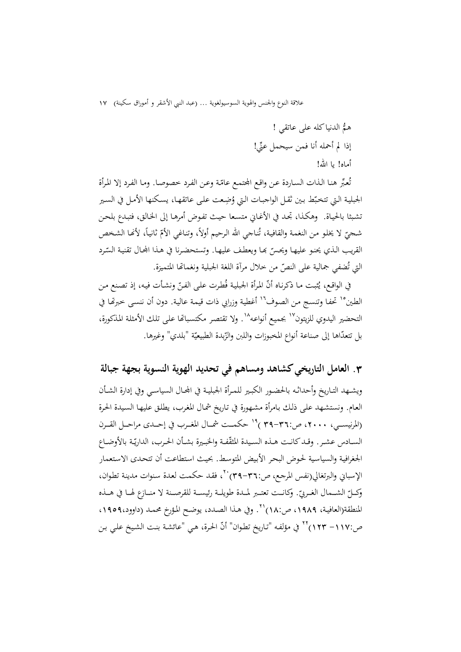ُّهم الدنياكله على عاتقي ! إذا لم أحمله أنا فمن سيحمل ِّعني! أماه! يا الله!

نُعبِّر هنا الذات الساردة عن واقع الجتمع عامّة وعن الفرد خصوصا. وما الفرد إلا المرأة ت الجبلية التي تتخبّط بين ثقل الواجبات التي وُضِعت على عاتقها، يسكنها الأمل في السير تشـبثا بالحيـاة. وهكـذا، تجـد في الأغـاني متسـعا حيـث تفـوض أمرهـا إلى الخـالق، فتبـدع بلحـن .<br>ا شـحيّ لا يخلو من النغمة والقافية، تُناجي الله الرحيم أولاً، وتناغي الأمّ ثانياً، لأنّا الشخص القريب الذي يحنو عليهـا ويحسّ بمـا ويعطف عليهـا. وتستحضرنا في هـذا الجحال تقنيـة السّرد<br>. التي تُضفي جمالية على النصّ من خلال مرآة اللغة الجبلية ونغمائها المتميزة.

في الواقع، يُثبت مـا ذكرنـاه أنّ المرأة الجبلية فُطرت علـى الفـنّ ونشـأت فيه، إذ تصنع مـن الطين°' تحفـا وتنسـج مـن الصوف'' أغطية وزرابي ذات قيمـة عاليـة. دون أن ننسـى خبرهّا في التحضير اليدوى للزيتون<sup>١٧</sup> بجميع أنواعه<sup>١٨</sup>. ولا تقتصر مكتسباقيا على تلك الأمثلة المذكورة، بل تتعدّاها إلى صناعة أنواع المخبوزات واللبن والزّبدة الطبيعيّة "بلدي" وغيرها.

**.**3 **العامل التاريخيكشاهد ومساهم في تحديد الهوية النسوية بجهة جبالة** ويشــهد التــاريخ وأحداثــه بالحضــور الكبــير للمــرأة الجبليــة في اجملــال السياســي وفي إدارة الشــأن العـام. ونستشـهد علـى ذلـك بـامرأة مشـهورة في تـاريخ شمـال المغـرب، يطلـق عليهـا السـيدة الحـرة (المرنيســي، ٢٠٠٠، ص:٣٦-٣٩)<sup>١٩</sup> حكمــت شمــال المغــرب في إحــدى مراحــل القــرن الســادس عشـر. وقـد كانـت هـذه السـيدة المثقّفـة والخبـيرة بشـأن الحـرب، الداريّـة بالأوضـاع الجغرافيـة والسياسـية لحـوض البحـر الأبـيض المتوسـط. بحيـث اسـتطاعت أن تتحـدى الاسـتعمار الإسباني والبرتغالي(نفس المرجع، ص:٣٦-٣٩) `` فقد حكمت لعدة سنوات مدينة تطوان، وكـــلّ الشــمال الغــربيّ. وكانــت تعتــبر لمــدة طويلــة رئيســة للقرصــنة لا منــازع لهــا في هــذه المنطقة(العافية، ١٩٨٩، ص:١٨) ``. وفي هـذا الصـدد، يوضـح المؤرخ محمـد (داوود،١٩٥٩، ص:١١٧– ١٢٣) `` في مؤلفه "تاريخ تطوان" أنّ الحرة، هي "عائشة بنت الشيخ علي بن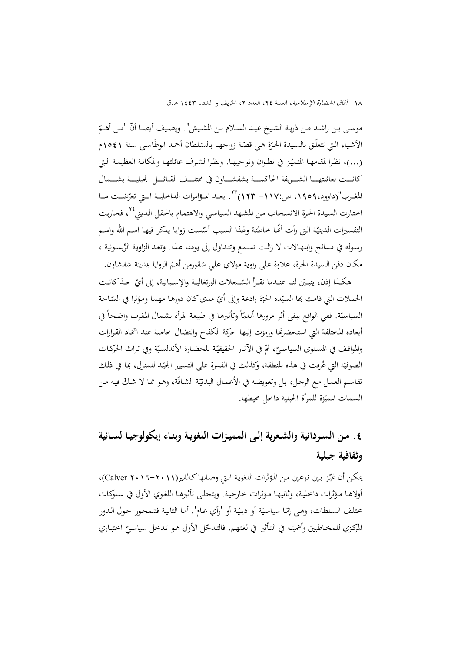موسـى بـن راشـد مـن ذريـة الشـيخ عبـد السـلام بـن المشـيش". ويضـيف أيضـا أنّ "مـن أهـمّ الأشياء التي تتعلّـق بالسيدة الحرّة هي قصّة زواجهـا بالسّلطان أحمد الوطّاسي سنة ١٥٤١م (…)، نظـرا لمقامهـا المتميّـز في تطـوان ونواحيهـا. ونظـرا لشـرف عـائلتهـا والمكـانـة العظيمـة الـتي كانـــت لعائلتهــــا الشــــريفة الحاكمــــة بشفشــــاون في مختلـــف القبائــــل الجبليـــة بشــــمال المغـرب"(داوود،١٩٥٩، ص:١١٧– ١٢٣) ٢٣. بعــد المـؤامرات الداخليــة الــتي تعرّضــت لهــا اختارت السيدة الحرة الانسحاب من المشهد السياسي والاهتمام بالحقل الديني<sup>٢٤</sup>، فحاربت التفسيرات الدينيّة التي رأت أنّها خاطئة ولهذا السبب أسّست زوايا يذكر فيها اسم الله واسم رسوله في مـدائح وابتهـالات لا زالت تسمع وتتـداول إلى يومنـا هـذا. وتعـد الزاويـة الرِّيسـونية ، مكان دفن السيدة الحرة، علاوة على زاوية مولاي علي شقورمن أهم الزوايا بمدينة شفشاون. ّ

هكـذا إذن، يتبـيّن لنــا عنــدما نقــرأ السّــجلات البرتغاليــة والإسـبانية، إلى أيّ حــدّ كـانــت الحملات التي قامت بما السيّدة الحرّة رادعة وإلى أيّ مدى كان دورها مهما ومؤثّرا في السّاحة<br>- $\overline{\phantom{a}}$ السياسيّة. ففي الواقع يبقى أثر مرورها أبديّاً وتأثيرها في طبيعة المرأة بشمال المغرب واضحاً في أبعاده المختلفة التي استحضرتها ورمزت إليها حركة الكفاح والنضال خاصة عند اتخاذ القرارات والمواقف في المستوى السياسيّ، ثمّ في الآثار الحقيقيّة للحضارة الأندلسيّة وفي تراث الحركـات<br>-الصوفيّة التي عُرفت في هذه المنطقة، وكذلك في القدرة على التسيير الجيّد للمنزل، بما في ذلك نقاسـم العمـل مـع الرجـل، بل وتعويضه في الأعمـال البدنيّة الشـاقّة، وهـو ممـا لا شـكّ فيه مـن السمات المميّزة للمرأة الجبلية داخل محيطها.

# **.**4 **مـن السـردانية والشـعرية إلـى المميـزات اللغويـة وبنـاء إيكولوجيـا لسـانية وثقافية جبلية**

يمكن أن نميّز بين نوعين مـن المؤثرات اللغويـة الـتي وصـفها كـالفير (Calver ۲۰۱۲–۲۰۱۱)، أولاهـا مـؤثرات داخليـة، وثانيهـا مـؤثرات خارجيـة. ويتجلـى تأثيرهـا اللغـوي الأول في سـلوكات مختلف السلطات، وهي إمّـا سياسيّة أو دينيّة أو 'رأي عـام'. أمـا الثانية فتتمحور حول الـدور المركزي للمخـاطبين وأهميتـه في التأثير في لغتهم. فالتـدخّل الأول هـو تـدخل سياسـيّ اختبـاري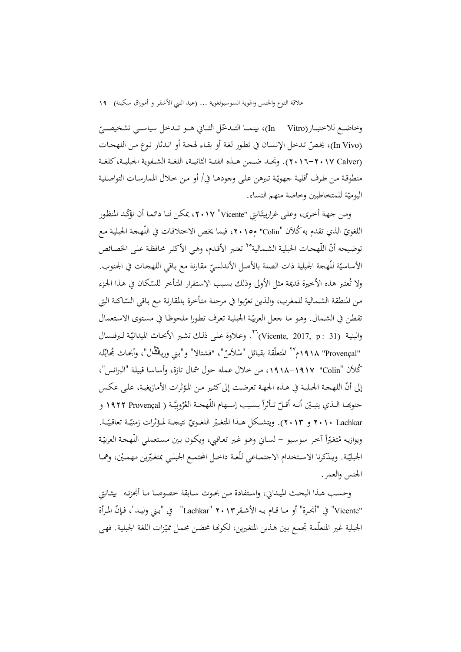وخاضــع للاختبــار(In Vitro)، بينمــا التــدخّل الثــاني هــو تــدخل سياســي تشخيصــيّ<br>. (In Vivo)، يخصّ تـدخل الإنسـان في تطور لغة أو بقـاء لهجة أو انـدثار نوع مـن اللهجـات (Calver 2016-2017(. ونجــد ضــمن هــذه الفئــة الثانيــة، اللغــة الشــفوية الجبليــة،كلغــة منطوقة من طرف أقلية جهويّة تبرهن على وجودهـا في/ أو من خـلال الممارسـات التواصـلية اليوميّة للمتخاطبين وخاصة منهم النساء.

ومن جمهة أخرى، وعلى غراربيتَـانتِي "Vicente" ١٧، ٢٠١٧، يمكـن لنـا دائمـا أن نؤكّد المنظور اللغويّ الذي تقدم به كُلاَن "Colin" م١٠١٥، فيما يخص الاختلافات في اللّهجة الجبلية مع توضيحه أنّ اللّهجات الجبلية الشـمالية°٬ تعتبر الأقدم، وهي الأكثر محافظة على الخصـائص الأساسيّة للّهجة الجبلية ذات الصلة بالأصل الأندلسيّ مقارنة مع باقي اللهجات في الجنوب.<br>-ولا تُعتبر هذه الأخيرة قديمة مثل الأولى وذلك بسبب الاستقرار المتأخر للسّكان في هذا الجزء من المنطقة الشمالية للمغرب، والذين تعرّبوا في مرحلة متأخرة بالمقارنة مع باقي السّاكنة التي تقطن في الشـمال. وهـو مـا جعـل العربيّة الجبلية تعرف تطورا ملحوظـا في مستوى الاستعمال والبنية (Vicente, 2017, p : 31)<sup>7</sup>7. وعـلاوة علـى ذلك تشـير الأبحـاث الميدانيّـة لـبرفنسال "Provençal" ١٩١٨م'' المتعلّقة بقبائل "سْلاَسْ"، "فشتالا" و"بني ورياڭْ ل"، وأبحـاث مُجايًلـه كَلاَن "Colin" ١٩١٧–١٩١٨، من خلال عمله حول شمال تازة، وأساسا قبيلة "البرانس"، إلى أنّ اللهجة الجبلية في هـذه الجمهة تعرضت إلى كثير مـن المؤثرات الأمازيغية، علـى عكس  $\frac{1}{2}$ جنوهِما الـذي يتبـيّن أنـه أقـلّ تـأثراً بسـبب إسـهام اللّهجــة العْرُوبِيَّـة ( NAYY Provençal و ۲۰۱۰ Lachkar و ۲۰۱۳). ويتشكّل هــذا المتغـيّر اللغـويّ نتيجـة لمـؤثّرات زمنيّـة تعاقبيّـة.<br>- $\overline{a}$ ا ويوازيه مُتغيّراً آخر سوسيو – لسـاني وهـو غـير تعـاقبي، ويكـون بـين مسـتعملي اللّهجـة العربيّـة الجبليّـة. ويـذكرنا الاستخدام الاجتمــاعي للّغـة داخـل المجتمـع الجبلـي بمتغـيّرين مهمـيْن، وهمـا الجنس والعمر.

وحســب هــذا البحــث الميــداني، واســتفادة مــن بحــوث ســابقة خصوصــا مــا أنجزتــه بيثــانتي "Vicente" في "أنجحرة" أو مـا قـام بـه الأشـقر٢٠١٣ "Lachkar" " في "بـني وليـد"، فـإنّ المـرأة الجبلية غير المتعلّمـة تجمـع بـين هـذين المتغيرين، لكونّفا محضن مجمـل مميّزات اللغة الجبلية. فهي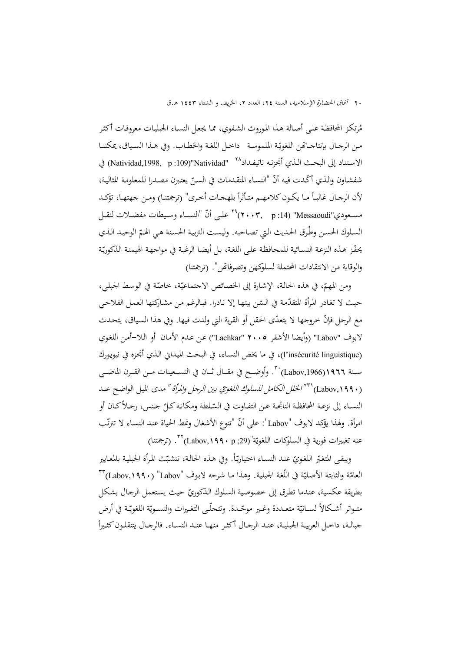٢٠ آفاق الحضارة الإسلامية، السنة ٢٤، العدد ٢، الخريف و الشتاء ١٤٤٣ هـ.ق

مُرتكـز المحافظة علـى أصـالة هـذا الموروث الشفوي، ممـا يجعـل النسـاء الجبليـات معروفـات أكثـر مـن الرجـال بإنتاجـاتهن اللغويّـة الملموسـة داخـل اللغـة والخطـاب. وفي هـذا السـياق، يمكننـا الاستناد إلى البحث الـذي أنجزتـه ناتيفـداد<sup>٢٨</sup> "Natividad,1998, p :109) في شفشاون والذي أكّدت فيه أنّ "النساء المتقدمات في السنّ يعتبرن مصدرا للمعلومة المثالية، لأن الرجـال غالبـاً مـا يكـون كلامهـم متـأثراً بلهجـات أخـرى" (ترجمتنـا) ومـن جهتهـا، تؤكـد مسـعودي"Messaoudi" (14: p :14)<sup>79</sup> علـى أنّ "النسـاء وسـيطات مفضـلات لنقـل السلوك الحسن وطّرق الحديث التي تصاحبه. وليست التربية الحسنة هي الهمّ الوحيد الذي يحقّز هـذه النزعـة النسـائية للمحافظـة علـى اللغـة، بـل أيضـا الرغبـة في مواجـهـة الهيمنـة الذكوريّة والوقاية من الانتقادات المحتملة لسلوكهن وتصرفاēن". (ترجمتنا)

ومن المهمّ، في هذه الحالة، الإشارة إلى الخصائص الاجتماعيّة، خاصّة في الوسط الجبلي، حيث لا تغادر المرأة المتقدّمة في السّـن بيتهـا إلا نـادرا. فبـالرغـم مـن مشـاركتها العمـل الفلاحـي<br>-مع الرجل فإنّ خروجها لا يتعدّى الحقل أو القرية التي ولدت فيها. وفي هذا السياق، يتحدث لابوف "Labov) "وأيضا الأشقر 2005 "Lachkar ("عـن عـدم الأمـان أو الـلا-أمـن اللغـوي (linguistique insécurité'l(، في ما يخـص النسـاء، في البحـث الميـداني الـذي أنجـزه في نيويـورك سـنة 1911(Labov,1966)<sup>. ٣.</sup> وأوضــح في مقــال ثــان في التسـعينات مــن القــرن الماضــي (Labov, ۱۹۹۰) 'أ<sup>"/</sup>الخ*لل الكامل للسلوك اللغويّ بين الرجل والمرأة " مدى* الميل الواضح عند  $\overline{a}$ النسـاء إلى نزعـة المحافظـة الناتجـة عـن التفـاوت في السّـلطة ومكانـة كـلَّ جـنس، رجـلأكـان أو امرأة. ولهذا يؤكد لابوف "Labov": على أنّ "تنوع الأشغال ونمط الحياة عند النساء لا تترتّب عنه تغييرات فورية في السلوكات اللغويّة"(Labov,**۱۹۹۰** p ;29). (ترجمتنا)

 $\overline{a}$ ويبقى المتغيّر اللغويّ عند النسـاء اختياريّاً. وفي هـذه الحالـة، تتشبّث المرأة الجبليـة بالمعايير العامّة والثابتة الأصليّة في اللّغة الجبلية. وهـذا مـا شـرحه لابوف "Labov" (Labov,۱۹۹۰) ٢٣ بطريقة عكسية، عندما تطرق إلى خصوصية السلوك الذكوريّ حيث يستعمل الرجال بشكل متـواتر أشـكالاً لســانيّة متعـددة وغـير موحّـدة. وتتحلّـى التغـيرات والتسـويّة اللغويّـة في أرض  $\frac{1}{2}$ جبالــة، داخــل العربيــة الجبليــة، عنــد الرجــال أكثــر منهــا عنــد النســاء. فالرجــال يتنقلــونكثــيرا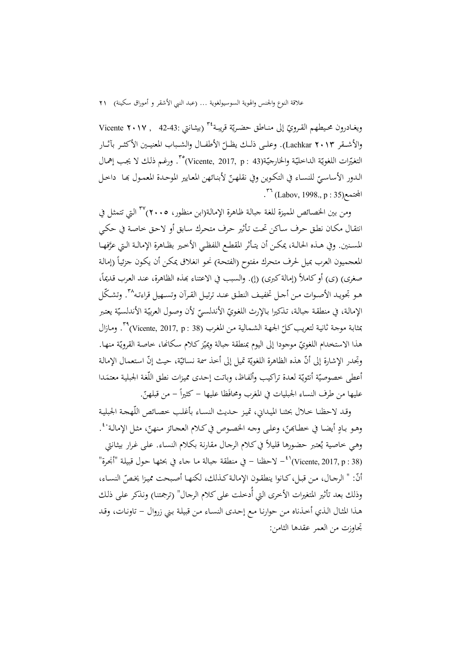ويغـادرون محـيطهم القـرويّ إلى منــاطق حضـريّة قريبـة<sup>٣٤</sup> (بيثـانتي :42-43 , Vicente **٢٠١٧** ). وعلـــى ذلـــك يظـــل الأطفـــال والشـــباب المعنيـــين الأكثـــر بآثـــار ّ والأشـــقر <sup>2013</sup> Lachkar التغيّرات اللغويّة الداخليّة والخارجيّة(Vicente, 2017, p : 43)°". ورغـم ذلك لا يجب إهمال الـدور الأساسـيّ للنسـاء في التكـوين وفي نقلهـنّ لأبنـائهن المعايير الموحـدة المعمـول بهـا داخـل<br>--- $\cdot$  (Labov, 1998., p : 35)

ومن بين الخصائص المميزة للغة جبالة ظاهرة الإمالة(ابن منظور، ٢٠٠٥)<sup>٣٧</sup> التي تتمثل في انتقـال مكـان نطـق حـرف سـاكن تحـت تـأثير حـرف متحـرك سـابق أو لاحـق خاصـة في حكـي المسـنين. وفي هــذه الحالـة، يمكــن أن يتـأثر المقطـع اللفظـي الأخـير بظـاهرة الإمالـة الـتي عرَّفهـا المعجميون العرب بميل لحرف متحرك مفتوح (الفتحـة) نحـو انغـلاق يمكـن أن يكـون جزئيـا (إمالـة ً صغرى) (ى) أو كاملاً (إمالة كبرى) (إ). والسبب في الاعتناء بمذه الظاهرة، عند العرب قديماً، هـو تجويـد الأصـوات مـن أحـل تخفيـف النطـق عنـد ترتيـل القـرآن وتسـهيل قراءتـه^٣. وتشـكّل الإمالـة، في منطقـة جبالـة، تـذكيرا بـالإرث اللغويّ الأندلسـيّ لأن وصـول العربيّـة الأندلسـيّة يعتبر<br>... بمثابة موجـة ثانيـة لتعريب كـلّ الجـهـة الشـمالية مـن المغرب (38 : Vicente, 2017, p)°، ومـازال هذا الاستخدام اللغويّ موجودا إلى اليوم بمنطقة جبالة ويميّز كلام سكانها، خاصة القرويّة منها. وتجدر الإشارة إلى أنّ هذه الظاهرة اللغويّة تميل إلى أخذ سمة نسائيّة، حيث إنّ استعمال الإمالة أعطى خصوصيّة أنثويّة لعدة تراكيب وألفاظ، وباتت إحدى مميزات نطق اللّغة الجبلية معتمَدا عليها من طرف النساء الجبليات في المغرب ومحافَظا عليها – كثيراً – من قبلهنّ.

وقـد لاحظنـا خـلال بحثنـا الميـداني، تميـز حـديث النسـاء بأغلـب خصـائص اللّهجـة الجبليـة وهـو بـادٍ أيضـا في خطـابحنّ، وعلـى وجـه الخصـوص في كـلام العجـائز منهنّ، مثـل الإمالـة`\*. .<br>ا وهـي خاصـية يُعتبر حضورها قليلاً في كـلام الرجـال مقارنة بكـلام النسـاء. علـى غـرار بيثـانتي لاحظنا – في منطقة جبالة ما جاء في بحثها حول قبيلة "أنجرة"  $\sim$  لاحظنا – في 138 (38 : 41 ) $\pm$ أنّ: " الرجـال، مـن قبـل، كـانوا ينطقـون الإمالـة كـذلك، لكنهـا أصـبحت مميـزا يخـصّ النسـاء،<br>. وذلك بعد تأثير المتغيرات الأخرى التي أُدخلت على كلام الرجال" (ترجمتنـا) ونـذكر علمي ذلك هـذا المثـال الـذي أخـذناه مـن حوارنـا مـع إحـدى النسـاء مـن قبيلـة بـني زروال - تاونـات، وقـد تجاوزت من العمر عقدها الثامن: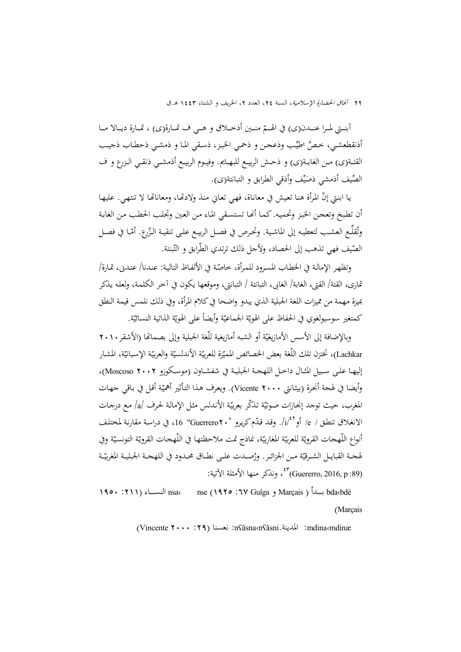آبنــتي لمــرا عنـــدن(ى) في الهــمّ منــين أذخــلاق و هــي ف تمــارة(ى) ، تمــارة ديــالا مــا أذنقطعشي، خصَّ اطيِّب وذعجن و ذحمي الخبز، ذسقي الما و ذمشي ذحطاب ذجيب القتــة(ى) مــن الغابــة(ى) و ذحــش الربيــع للبهــايم. وفيــوم الربيــع أذمشــي ذنقــي الــزرع و ف الصِّيف أذمشي ذصَيِّف وأذقي الطرابق و التبانتة(ى). ي  $\overline{a}$ 

يا ابنتي إنّ المرأة هنا تعيش في معاناة، فهي تعاني منذ ولادتّما، ومعاناتما لا تنتهي. عليها أن تطبخ وتعجن الخبز وتحميه. كما أنّحا تستسقى الماء من العين وتجلب الحطب من الغابة وتُقلَّـع العشـب لتعطيـه إلى الماشـية. وتحـرص في فصـل الربيـع علـى تنقيـة الـزَّرع. أمّـا في فصـل الصّيف فهي تذهب إلى الحصاد، ولأجل ذلك ترتدي الطّرابق و التّبنتة.

وتظهر الإمالـة في الخطـاب المسـرود للمـرأة، خاصّـة في الألفـاظ التاليـة: عنـدنا/ عنـدني، تمـارة/ تمارى، القتة/ القتى، الغابة/ الغابى، التبانتة / التبانتى، وموقعها يكون في آخـر الكلمـة، ولعلـه يـذكر بميزة مهمة من مميزات اللغة الجبلية الذي يبدو واضحا فيكلام المرأة، وفي ذلك نلمس قيمة النطق  $\overline{\phantom{a}}$ كمتغير سوسيولغوي في الحفاظ على الهويّة الجماعيّة وأيضاً على الهويّة الذاتية النسائيّة.<br>-

وبالإضافة إلى الأسس الأمازيغيّة أو الشبه أمازيغية للّغة الجبلية وإلى بصماتما (الأشقر ٢٠١٠<br>-Lachkar)، تختزن تلك اللّغة بعض الحصائص المميّزة للعربيّة الأندلسيّة والعربيّة الإسبانيّة، المشار إليهــا علــى ســبيل المثــال داخــل اللهجــة الجبليــة في شفشــاون (موســكوزو 2002 Moscoso(، وأيضا في لهجة أنجرة (بيثانتي Vicente **۲۰۰۰)**. ويعرف هـذا التأثير أهميّة أقـل في بـاقـي جـهـات<br>-المغرب، حيث توجد إنجـازات صوتيّة تـذكّر بعربيّة الأنـدلس مثل الإمالـة لحرف /a/ مـع درجـات الانغلاق تنطق / e/ أو iú'/. وقد قدّم كريرو "·Guerrero ، 1" 16" في دراسة مقارنة لمختلف أنواع اللّهجات القرويّة للعربيّة المغاربيّة، نماذج تمت ملاحظتها في اللّهجات القرويّة التونسيّة وفي لهجـة القبايـل الشـرقيّة مـن الجزائـر. ورُصـدت علـى نطـاق محـدود في اللهجـة الجبليـة المغربيّـة (Guererro, 2016, p :89) <sup>43</sup> ، ونذكر منها الأمثلة الآتية:

1950 :211) النســــاء nsa‹ nse (1925 :67 Guîga و Marçais ) بــــدأ bda‹bdé (Marçais

(Vincente 2000 :29) نعسنا :nʕăsna‹nʕăsni.المدينة :mdina‹mdinæ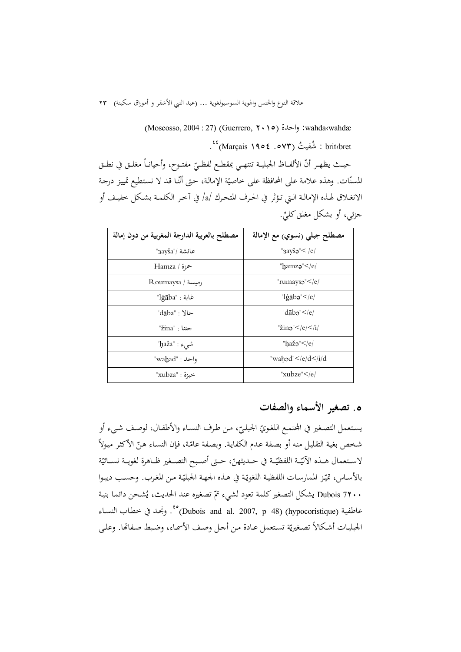(Moscosso, 2004 : 27) (Guerrero, ۲۰۱۰) wahda‹wahdæ brit‹bret : شُفيتُ (Marçais ۱۹۰۴. ) <sup>٤٤</sup>.

 $\overline{\phantom{a}}$ حيـث يظهـر أنّ الألفــاظ الجبليــة تنتهـي بمقطـع لفظـيّ مفتـوح، وأحيانــأ مغلـق في نطـق<br>-المسنّات. وهذه علامة على المحافظة على خاصيّة الإمالة، حتى أنّنا قد لا نستطيع تمييز درجة الانغــلاق لهــذه الإمالــة الــتي تــؤثر في الحــرف المتحــرك /a/ في آخــر الكلمــة بشــكل خفيــف أو جزئي، أو بشكل مغلق كليٍّ.

| مصطلح بالعربية الدارجة المغربية من دون إمالة | مصطلح جبلي (نسوي) مع الإمالة  |
|----------------------------------------------|-------------------------------|
| "عائشة /"3ayša"                              | " $3ay\check{s}a$ " < /e/     |
| حمزة / Hamza                                 | "hamzə" $\leq$ /e/            |
| Roumaysa / توميسة                            | "rumaysə"                     |
| غابة : "lġāba"                               | "lġābə"                       |
| "dāba" : "dā                                 | "dāba" $\le$ /e/              |
| "žina" : "zi                                 | " $\mathsf{zin}$ <sup>"</sup> |
| شىء : "ḥaža"                                 | "haža" $\leq$ /e/             |
| واحد : "waḥad"                               | "wahad"                       |
| خبزة : "xubza                                | "xubze"                       |

# **.**5 **تصغير الأسماء والصفات**

يستعمل التصغير في المحتمـع اللغـويّ الجبلـيّ، مـن طـرف النسـاء والأطفـال، لوصـف شـيء أو<br>-شخص بغية التقليل منه أو بصفة عدم الكفاية. وبصفة عامّة، فإن النساء هنّ الأكثر ميولاً لاسـتعمال هــذه الأليّــة اللفظيّــة في حــديثهنّ، حــتى أصـبح التصــغير ظــاهرة لغويــة نســائيّة بالأسـاس، تميّـز الممارسـات اللفظيـة اللغويّـة في هـذه الجـهـة الجبليّـة مـن المغرب. وحسـب ديبـوا Dubois 7**۲۰۰** يشكل التصغير كلمة تعود لشيء تتمّ تصغيره عند الحديث، يُشحن دائما بنية عاطفية (hypocoristique) (48 dynocoristique) <sup>20</sup>. ونجحد في خطاب النساء الجبليات أشكالاً تصغيريّة تستعمل عـادة من أحل وصف الأسمـاء، وضبط صفاقا. وعلـى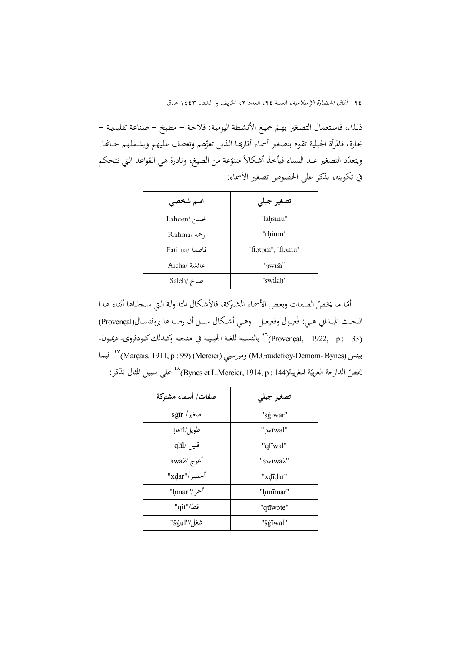٢٤ آفاق الحضارة الإسلامية، السنة ٢٤، العدد ٢، الخريف و الشتاء ١٤٤٣ هـ.ق

ذلك، فاستعمال التصغير يهـمّ جميع الأنشطة اليومية: فلاحـة – مطبخ – صناعة تقليدية – تجارة، فالمرأة الجبلية تقوم بتصغير أسماء أقاربها الذين تعزّهم وتعطف عليهم ويشـملهم حنانها. .<br>ا ويتعدّد التصغير عند النساء فيأخذ أشكالاً متنوّعة من الصيغ، ونادرة هي القواعد التي تتحكم في تكوينه، نذكر على الخصوص تصغير الأسماء:

| تصغير جبلي           |
|----------------------|
| "lahsinu"            |
| "rhimu"              |
| "ftatam", "ftamu"    |
| " <sub>3</sub> wiša" |
| "swilah"             |
|                      |

أمّـا مـا يخصّ الصفات وبعض الأسمـاء المشتركة، فالأشكال المتداولـة الـتي سـجلناها أثنـاء هـذا البحـث الميـداني هـي: فْعيـول وفعيعـل وهـي أشـكال سـبق أن رصـدها بروفنســال(Provençal) بالنســبة للغــة الجبليــة في طنجــة وكــذلككــودفروي- ديمــون- <sup>46</sup> (33 : p 1922, ,Provençal( (Marçais, 1911, p : 99) (Mercier) وميرسيي) M.Gaudefroy-Demom- Bynes) بينس فيما <sup>47</sup> يخصّ الدارجة العربيّة المغربية(Bynes et L.Mercier, 1914, p : 144)<sup>24</sup> على سبيل المثال نذكر:

| صفات/ أسماء مشتوكة                       | تصغير جبلى |
|------------------------------------------|------------|
| $\mathrm{sg}\bar{\mathrm{tr}}\,/\,$ صغير | "sģiwar"   |
| طويل/twīl                                | "twīwal"   |
| قليل /qlīl                               | "qlīwal"   |
| أعوج /3waž                               | "swīwaž"   |
| أخضر /"xḍar"                             | "xdīdar"   |
| أحمر/"ḥmar"                              | "hmīmar"   |
| قط/"qit"                                 | "qtīwate"  |
| شغل/"šġul"/                              | "šģīwal"   |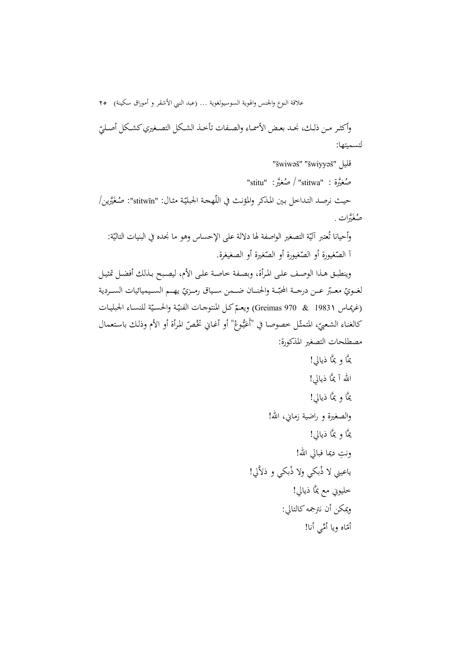علاقة النوع والجنس والهوية السوسيولغوية ... (عبد النبي الأشقر و أموراق سكينة) 25 وأكثـر مـن ذلـك، نجــد بعـض الأسمـاء والصـفات تأخــذ الشـكل التصـغيري كشـكل أصـليّ لتسميتها:

 "šwiwəš" "šwiyyəš" قليل "stitu"  $\rightarrow$  صُغيَّرة : "stitwa" حيث نرصد التداخل بين المذكر والمؤنث في اللّهجة الجبليّة مثال: "stitwīn": صُغَيَّرين/ صُغَيَّرات <sub>.</sub> وأحيانا تُعتبر آليّة التصغير الواصفة لها دلالة على الإحساس وهو ما نجده في البنيات التاليّة:<br>-أ الصّغيورة أو الصّغيرة أو الصّغيرة أو الصغيغرة.<br>-وينطبـق هـذا الوصـف علـى المـرأة، وبصـفة خاصـة علـى الأم، ليصـبح بـذلك أفضـل تمثيـل

لغــويّ معـبّر عــن درجــة المحبّــة والحنــان ضـــمن ســياق رمــزيّ يهــم الســيميائيات الســردية ّ يعـم ة للنسـاء الجبليـات ّ (غريمـاس <sup>1983</sup>1 & 970 Greimas (و كـل ّـة والحسـي المنتوجـات الفني كالغناء الشعبيّ، المتمثّل خصوصا في "أعَيُّوغْ" أو أغـاني تخُصّ المرأة أو الأم وذلك باستعمال ي ې<br>ا مصطلحات التصغير المذكورة:

يمَّا و يمَّا ذيالي! االله آ يمَّا ذيالي! يمَّا و يمَّا ذيالي! والصغيرة و راضية زماني، االله! يمَّا و يمَّا ذيالي! ِ ونت ديما فبالي االله! َّلي! ياعيني لا ْذ بكي ولا ْذبكي و ذلا خليوني مع يمَّا ذيالي! ويمكن أن نترجمهكالتالي: أمي أنا! أم ّاه ويا ِّ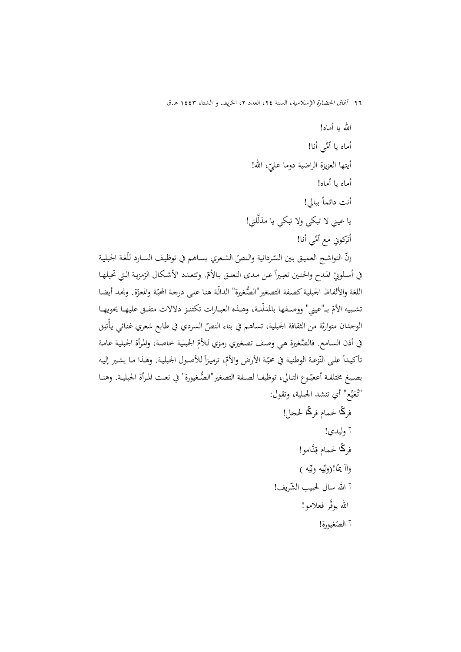االله يا أماه! أماه يا أُمِّي أنا! أيتها العزيزة الراضية دوما عليّ، الله!<br>. أماه يا أماه! أنت دائما ً ببالي! يا عيني لا تبكي ولا تبكي يا مذلَّلتي! اُتركوني مع أُمِّي أنا! إنّ التواشـج العميق بين السّردانية والنصّ الشعري يسـاهـم في توظيف السـارد للّغة الجبلية  $\overline{a}$ في أسـلوبيْ المـدح والحنـين تعبـيراً عـن مـدى التعلـق بـالأمّ. وتتعـدد الأشـكال الرّمزية الـتي تحيلهـا<br>. اللغة والألفاظ الجبلية كصفة التصغير"الصُّغيرة" الدالّة هنا على درجة المحبّة والمعرّة. ونجد أيضا تشـبيه الأمّ بــ"عيني" ووصــفها بالمدلّلـة، وهــذه العبــارات تكتنــز دلالات متفــق عليهــا يحويهــا<br>-الوجدان متوارثة من الثقافة الجبلية، تساهم في بناء النصّ السردي في طابع شعري غنائي يأْتلِق في أذن السـامع. فالصَّغيرة هـي وصف تصغيري رمزي للأمّ الجبلية خاصة، والمرأة الجبلية عامة  $\overline{a}$ نأكيداً على النّزعة الوطنية في محبّة الأرض والأمّ، ترميزاً للأصول الجبلية. وهـذا مـا يشير إليـه بصـيغ مختلفـة أععيّـوع التـالي، توظيفـا لصـفة التصغير"الصُّغيورة" في نعـت المـرأة الجبليـة. وهنـا "تُعَيِّع" أي تنشد الجبلية، وتقول: ي َ فرڭا لحمام فرڭا لحجل! آ وليدي! فرڭا لحمام قِدَّامو! واآ يمّا!(ويّيه ويّيه ) آ الله سال لحبيب الشّريف! الله يوفَّر فعلامو! آ الص ّغيورة!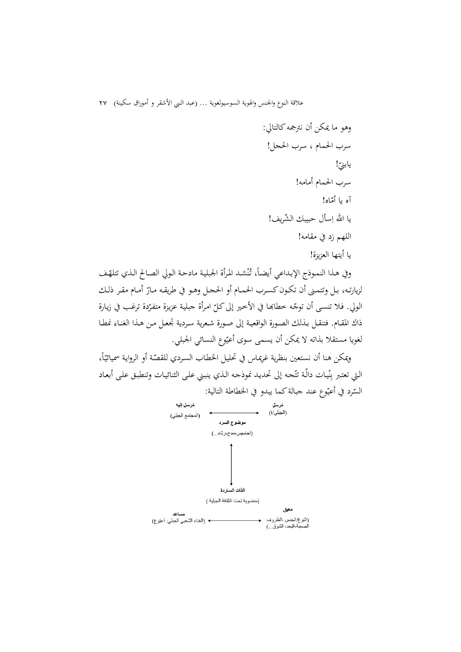وهو ما يمكن أن نترجمهكالتالي: سرب الحمام ، سرب الحجل! ! يابني ّ سرب الحمام أمامه! آه يا أم ّاه! الشريف! يا االله <sup>ا</sup> ِسأل حبيبك ّ اللهم زد في مقامه! يا أيتها العزيزة!

وفي هـذا النمـوذج الإبـداعي أيضـاً، تُنْشـد المرأة الجبلية مادحـة الـولي الصـالح الـذي تتلهّف ن لزيارتـه، بـل وتتمـنى أن تكـون كسـرب الحمـام أو الححـل وهـو في طريقـه مـارّ أمـام مقـر ذلـك الولي. فلا تنسى أن توجّـه خطابَما في الأخير إلى كلّ امرأة جبلية عزيزة متفرّدة ترغب في زيارة<br>-ذاك المقـام. فتنقـل بـذلك الصـورة الواقعيـة إلى صـورة شـعرية سـردية تجعـل مـن هـذا الغنـاء نمطـا لغويا مستقلا بذاته لا يمكن أن يسمى سوى أعيّوع النسائي الجبلي.

 $\overline{\phantom{a}}$ ويمكن هنا أن نستعين بنظرية غريمـاس في تحليـل الخطـاب السـردي للقصّة أو الروايـة سميائيّاً، التي تعتبر بِنْيات دالّـة تتّجـه إلى تحديد نموذجه الـذي ينبـني علـى الثنائيـات وتنطبـق علـى أبعـاد ن السّرد في أُعيّوع عند جبالة كما يبدو في الخطاطة التالية:<br>.

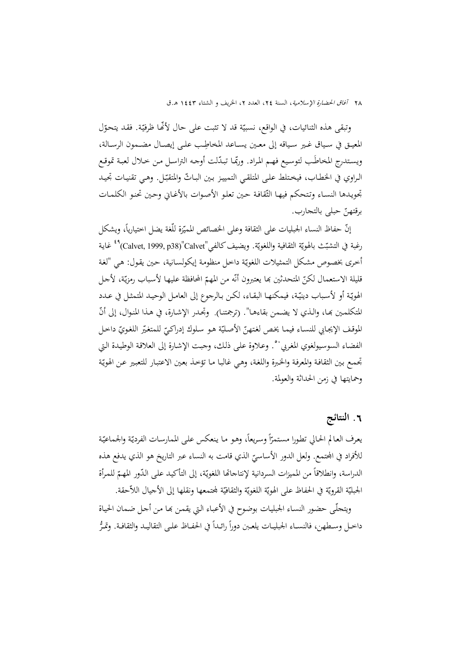وتبقى هذه الثنائيات، في الواقع، نسبيّة قد لا تثبت على حال لأنَّها ظرفيّة. فقد يتحوّل المعيـق في سـياق غـير سـياقه إلى معـين يسـاعد المخاطِب علـي إيصـال مضـمون الرسـالة، ويستدرج المحاطَب لتوسيع فهم المراد. وربّما تبدّلت أوجه التراسل من حلال لعبة تموقع الراوي في الخطـاب، فيختلط علـى المتلقـي التمييـز بـين البـاتّ والمتقبّـل. وهـي تقنيـات تجيـد تحويدها النسـاء وتتحكم فيهـا الثّقافـة حين تعلو الأصوات بالأغـاني وحين تحنو الكلمـات برقتهن ّ حبلى بالتجارب.

إنّ حفاظ النساء الجبليات على الثقافة وعلى الخصائص المميّزة للّغة يضل اختيارياً، ويشكل رغبة في التشبّث بالهويّة الثقافية واللغويّة. ويضيف كالفي"Calvet, 1999, p38) المجموع التشبّث بالهويّة أخرى بخصوص مشكل التمثيلات اللغويّة داخل منظومة إيكولسانية، حين يقول: هي "لغة قليلة الاستعمال لكنّ المتحدثين بما يعتبرون أنّه من المهمّ المحافظة عليها لأسباب رمزيّة، لأجل الهويّـة أو لأسباب دينيّـة، فيمكنهـا البقـاء، لكن بـالرجوع إلى العامـل الوحيـد المتمثـل في عـدد المتكلمـين بمـا، والـذي لا يضـمن بقاءِهـا". (ترجمتنـا). وتجـدر الإشـارة، في هـذا المنـوال، إلى أنّ الموقف الإيجابي للنسـاء فيمـا يخص لغتهنّ الأصـليّة هـو سلوك إدراكـيّ للمتغيّر اللغويّ داخـل<br>-الفضاء السوسيولغوي المغربي<sup>. و</sup> وعلاوة على ذلك، وجبت الإشارة إلى العلاقة الوطيدة التي تجمع بين الثقافة والمعرفة والخبرة واللغة، وهي غالبا ما تؤخذ بعين الاعتبار للتعبير عن الهويّة وحمايتها في زمن الحداثة والعولمة.

# **.**6 **النتائج**

 $\frac{1}{2}$ اً يعرف العالم الحالي تطورا مستمرّاً وسريعاً، وهو ما ينعكس على الممارسات الفرديّة والجماعيّة للأفراد في المجتمع. ولعل الدور الأساسيّ الذي قامت به النساء عبر التاريخ هو الذي يدفع هذه<br>. الدراسة، وانطلاقاً من المميزات السردانية لإنتاجاتها اللغويّة، إلى التأكيد على الدّور المهمّ للمرأة الجبليّة القرويّة في الحفاظ على الهويّة اللغويّة والثقافيّة لمجتمعها ونقلها إلى الأجيال اللاّحقة.

ويتجلّـى حضور النسـاء الجبليـات بوضوح في الأعبـاء الـتي يقمـن بمـا مـن أجـل ضـمـان الحيـاة  $\frac{1}{2}$ داخـل وسـطهن، فالنســاء الجبليــات يلعـبن دوراً رائـداً في الحفــاظ علــى التقاليـد والثقافـة. وتمـرُّ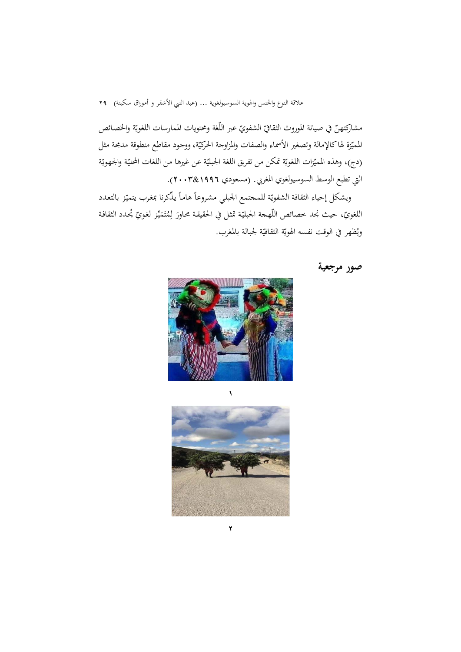مشاركتهنّ في صيانة الموروث الثقافيّ الشفويّ عبر اللّغة ومحتويات الممارسات اللغويّة والخصائص المميّزة لهاكالإمالة وتصغير الأسماء والصفات والمزاوجة الحركيّة، ووجود مقاطع منطوقة مدمجة مثل (دج)، وهذه المميّزات اللغويّة تمكّن من تفريق اللغة الجبليّة عن غيرها من اللغات المحليّة والجهويّة التي تطبع الوسط السوسيولغوي المغربي. (مسعودي 1996&2003).

 $\overline{\phantom{a}}$ ويشكل إحياء الثقافة الشفويّة للمحتمع الجبلي مشروعاً هاماً يذكرنا بمغرب يتميّز بالتعدد اللغويّ، حيث نجد خصائص اللّهجة الجبليّة تمثل في الحقيقة محاورَ لِمُتَمَيِّز لغويّ يُحدد الثقافة ي  $\overline{ }$ ت ويُظهر في الوقت نفسه الهويّة الثقافيّة لجبالة بالمغرب.





1

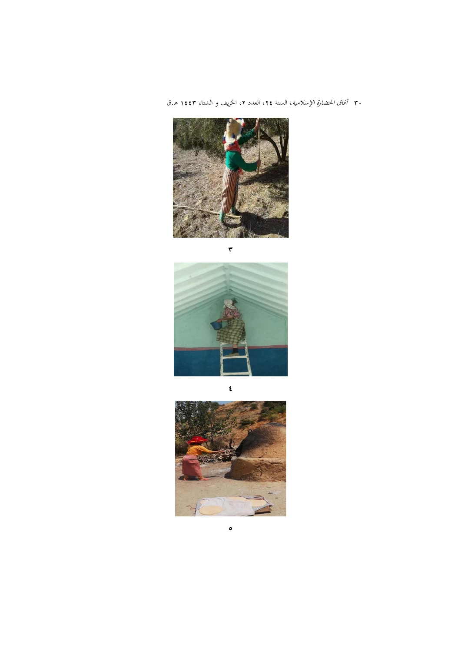٣٠ *آفاق الحضارة الإسلامية*، السنة ٢٤، العدد ٢، الخريف و الشتاء ١٤٤٣ هـ.ق



 $\epsilon$ 



 $\bullet$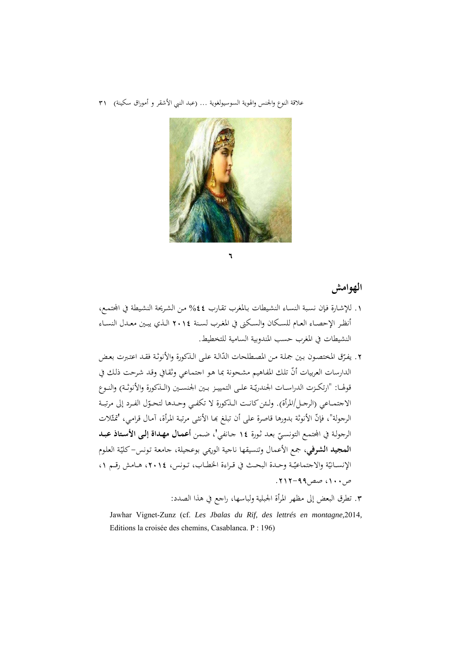

**الهوامش**

.1 للإشـارة فـإن نسـبة النسـاء النشـيطات بـالمغرب تقـارب %44 مـن الشـريحة النشـيطة في اجملتمـع، أنظــر الإحصــاء العــام للســكان والســكنى في المغــرب لســنة 2014 الــذي يبــين معــدل النســاء النشيطات في المغرب حسب المندوبية السامية للتخطيط.

**1** 

- ٢. يفرّق المختصون بين جملة من المصطلحات الدّالة على الذكورة والأنوثة فقد اعتبرت بعض الدارسات العربيات أنّ تلك المفاهيم مشحونة بما هو اجتماعي وثقافي وقد شرحت ذلك في قولهـا: "ارتكـزت الدراسـات الجندريّـة علـى التمييـز بـين الجنسـين (الــذكورة والأنوثـة) والنـوع الاجتمــاعي (الرجــل/المرأة). ولــئن كـانــت الــذكورة لا تكفـي وحــدها لتحـوّل الفـرد إلى مرتبــة الرجولة"، فإنّ الأنوثة بدورها قاصرة على أن تبلغ بما الأنثـى مرتبـة المرأة، آمـال قرامي، 'تمثّلات الرجولـة في اجملتمـع التونسـي 14 جـانفي'، ضـمن **أعمـال مهـداة إلـى الأسـتاذ عبـد** ّ بعـد ثـورة **المجيد الشرفي**، جمع الأعمال وتنسيقها ناجية الوريمي بوعجيلة، جامعة تونس–كليّة العلوم الإنســانيّة والاجتماعيّـة وحـدة البحـث في قـراءة الخطــاب، تــونس، ٢٠١٤، هــامش رقــم ٠١  $(117 - 99)$ ص.200 - 212
	- .3 تطرق البعض إلى مظهر المرأة الجبلية ولباسها، راجع في هذا الصدد:

Jawhar Vignet-Zunz (cf. *Les Jbalas du Rif, des lettrés en montagne,*2014*,*  Editions la croisée des chemins, Casablanca. P : 196)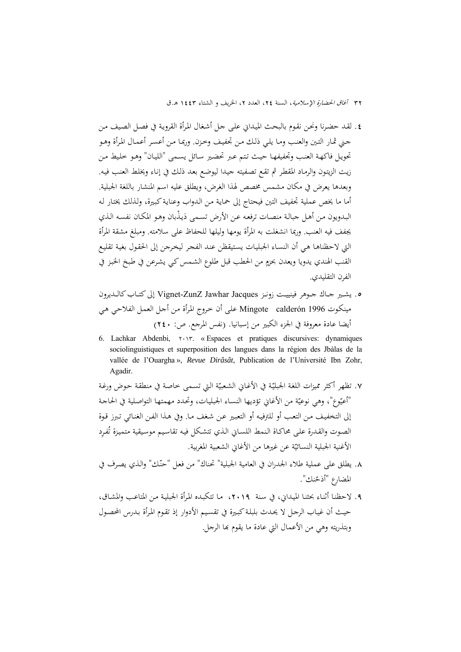- .4 لقـد حضـرنا ونحـن نقـوم بالبحـث الميـداني علـى جـل أشـغال المـرأة القرويـة في فصـل الصـيف مـن جـني ثمـار التـين والعنـب ومـا يلـي ذلـك مـن تجفيـف وخـزن. وربمـا مـن أعسـر أعمـال المـرأة وهـو تحويـل فاكهـة العنـب وتجفيفهـا حيـث تـتم عـبر تحضـير سـائل يسـمى "الليـان" وهـو خلـيط مـن زيـت الزيتـون والرمـاد المقطـر ثم تقـع تصـفيته جيـدا ليوضـع بعـد ذلـك في إنـاء ويخلـط العنـب فيـه. وبعدها يعرض في مكان مشمس مخصص لهذا الغرض، ويطلق عليه اسم المنشار باللغة الجبلية. أما ما يخص عملية تجفيف التين فيحتاج إلى حمايـة مـن الـدواب وعنايـةكبـيرة، ولـذلك يختـار لـه البـدويون مـن أهـل جبالـة منصـات ترفعه عـن الأرض تسـمى دَيـذّبان وهـو المكـان نفسـه الـذي يجفف فيه العنب. وربما انشغلت به المرأة يومها وليلها للحفاظ على سلامته. ومبلغ مشقة المرأة التي لاحظناهـا هـي أن النسـاء الجبليـات يسـتيقظن عنـد الفجـر ليخـرجن إلى الحقـول بغيـة تقليـع **ٍ** القنب الهندي يدويا ويعدن بحزمٍ من الحطب قبل طلوع الشمس كي يشرعن في طبخ الخبز في الفرن التقليدي.
- ه. يشـير جـاك جـوهر فينييـت زونـز Vignet-ZunZ Jawhar Jacques إلى كتـاب كالـديرون مينكـوت 1996 calderón Mingote علـى أن خـروج المـرأة مـن أجـل العمـل الفلاحـي هـي أيضا عادة معروفة في الجزء الكبير من إسبانيا. (نفس المرجع. ص: 240)
- 6. Lachkar Abdenbi,  $\gamma \cdot \gamma$ , « Espaces et pratiques discursives: dynamiques sociolinguistiques et superposition des langues dans la région des Jbàlas de la vallée de l'Ouargha », *Revue Dirâsât*, Publication de l'Université Ibn Zohr, Agadir.
- ٧. تظهر أكثر مميزات اللغة الجبليّة في الأغـاني الشعبيّة التي تسـمى خاصة في منطقة حوض ورغـة<br>~ "أعيّوع"، وهي نوعيّة من الأغاني تؤديها النساء الجبليات، وتحدد مهمتها التواصلية في الحاجة إلى التخفيـف مـن التعـب أو للترفيـه أو التعبـير عـن شـغف مـا. وفي هـذا الفـن الغنـائي تـبرز قـوة الصوت والقدرة على محاكـاة النمط اللسـاني الذي تتشكل فيه تقاسيم موسيقية متميزة تُفرِد الأغنية الجبلية النسائيّة عن غيرها من الأغاني الشعبية المغربية.
- ٠٨. يطلق على عملية طلاء الجدران في العامية الجبلية" تحناك" من فعل "حنّك" والذي يصرف في المضارع "أذحّنك".
- .9 لاحظنـا أثنـاء بحثنـا الميـداني، في سـنة ،2019 مـا تتكبـده المـرأة الجبليـة مـن المتاعـب والمشـاق، حيـث أن غيـاب الرجـل لا يحـدث بلبلـةكبـيرة في تقسـيم الأدوار إذ تقـوم المـرأة بـدرس المحصـول وبتذريته وهي من الأعمال التي عادة ما يقوم بها الرجل.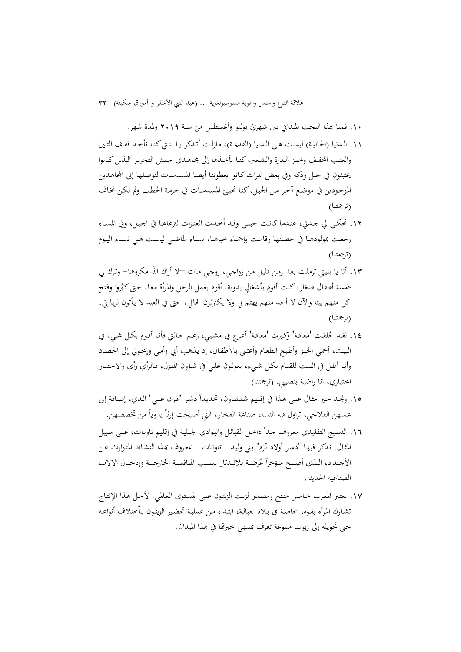.١. قمنا بَمذا البحث الميداني بين شهريْ يوليو وأغسطس من سنة ٢٠١٩ ولمدة شهر.

- .11 الـدنيا (الحاليـة) ليسـت هـي الـدنيا (القديمـة)، مازلـت أتـذكر يـا بنـتيكنـا نأخـذ قفـف التـين والعنـب الجفـف وخبـز الـذرة والشـعير ،كنــا نأخــذهـا إلى مجـاهـدي جـيش التحريـر الـذين كــانوا يختبئون في جبل ودكة وفي بعض المرات كـانوا يعطوننـا أيضـا المسدسـات لنوصـلها إلى المحاهـدين الموجودين في موضـع آخر مـن الجبل،كنـا نخبـئ المسدسـات في حزمـة الحطب ولم نكـن نخـاف (ترجمتنا)
- .12 تحكــي لي جــدتي، عنــدماكانــت حبلــى وقــد أخــذت العنــزات لترعاهــا في الجبــل، وفي المســاء رجعــت بمولودهــا في حضــنها وقامــت بإحمــاء خبزهــا، نســاء الماضــي ليســت هــي نســاء اليــوم (ترجمتنا)
- .13 أنا يا بنيـتي ترملـت بعـد زمـن قليـل مـن زواجـي، زوجـي مـات –لا أراك االله مكروهـا- وتـرك لي خمسة أطفال صغار، كنت أقوم بأشغالٍ يدوية، أقوم بعمل الرجل والمرأة معـا، حتى كبُروا وفتح كل منهم بيتا والآن لا أحد منهم يهتم بي ولا يكترثون لحالي، حتى في العيد لا يـأتون لزيـارتي. (ترجمتنا)
- ١٤. لقـد خُلقـت 'معاقـة' وكـبرت 'معاقـة' أعـرج في مشـيي، رغـم حـالتي فأنـا أقـوم بكـل شـيء في البيـت، أحمـي الخبـز وأطـبخ الطعـام وأعتـني بالأطفـال، إذ يـذهب أبي وأمـي وإخـوتي إلى الحصـاد وأنـا أظـل في البيـت للقيـام بكـل شـيء، يعولـون علـي في شـؤون المنـزل، فـالرأي رأي والاختيـار اختياري، انا راضية بنصيبي. (ترجمتنا)
- ١٥. ونجـد حمير مثـال علـي هـذا في إقليم شفشـاون، تحديـدأ دشـر "فـران علـي" الـذي، إضـافة إلى عملهن الفلاحي، تزاول فيه النساء صناعة الفخار، التي أصبحت إرثاً يدوياً من تخصصهن.
- ١٦. النسيج التقليدي معروف حداً داخل القبائل والبوادي الجبلية في إقليم تاونات، على سبيل المثـال. نـذكر فيهـا "دشـر أولاد آزم" بـني وليـد ـ تاونـات ـ المعـروف đـذا النشـاط المتـوارث عـن الأجـداد، الـذي أصـبح مـؤخراً عُرضــة للانـدثار بسـبب المنافسـة الخارجيـة وإدخـال الآلات الصناعية الحديثة.
- .17 يعتـبر المغـرب خـامس منـتج ومصـدر لزيـت الزيتـون علـى المسـتوى العـالمي. لأجـل هـذا الإنتـاج تشـارك المـرأة بقـوة، خاصـة في بـلاد جبالـة، ابتـداء مـن عمليـة تحضـير الزيتـون بـاٌختلاف أنواعـه حتى تحويله إلى زيوت متنوعة تعرف بمنتهى خبرēا في هذا الميدان.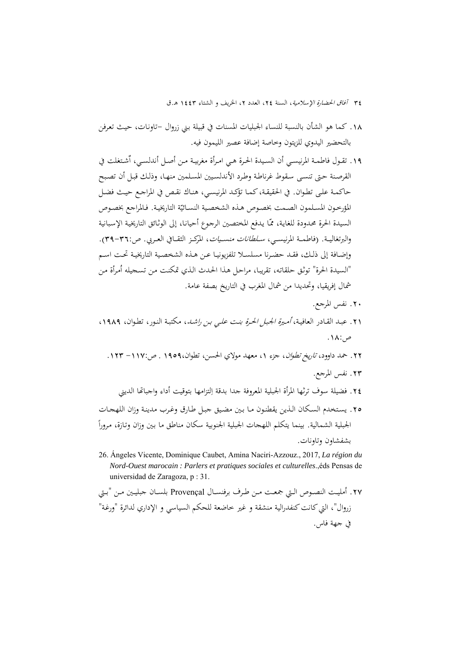٣٤ آفاق الحضارة الإسلامية، السنة ٢٤، العدد ٢، الخريف و الشتاء ١٤٤٣ هـ.ق

- .18 كما هو الشأن بالنسبة للنساء الجبليات المسنات في قبيلة بـني زروال -تاونـات، حيـث تعـرفن بالتحضير اليدوي للزيتون وخاصة إضافة عصير الليمون فيه.
- ١٩. تقـول فاطمـة المرنيسـي أن السـيدة الحـرة هـي امـرأة مغربيـة مـن أصـل أندلسـي، آشـتغلت في القرصـنة حـتى تنسـى سـقوط غرناطـة وطـرد الأندلسـيين المسـلمين منهـا، وذلـك قبـل أن تصـبح حاكمـة علـى تطـوان. في الحقيقـة،كمـا تؤكـد المرنيسـي، هنـاك نقـص في المراجـع حيـث فضـل المؤرخـون المسلمون الصـمت بخصـوص هـذه الشخصية النسـائيّة التاريخيـة. فـالمراجع بخصـوص السيدة الحرة محدودة للغايـة، ممّـا يـدفع المختصـين الرجوع أحيانـا، إلى الوثـائق التاريخيـة الإسبـانية والبرتغاليــة. (فاطمــة المرنيســي، *ســلطانات منســيات*، المركــز الثقــافي العــربي. ص:٣٦-٣٩). وإضــافة إلى ذلــك، فقــد حضــرنا مسلســلا تلفزيونيــا عــن هــذه الشخصــية التاريخيــة تحــت اســم "السيدة الحرة" توثق حلقاته، تقريبـا، مراحـل هـذا الحـدث الـذي تمكنـت مـن تسـجيله أمـرأة مـن شمال إفريقيا، وتحديدا من شمال المغرب في التاريخ بصفة عامة.
	- .20 نفس المرجع.
- .21 عبـد القـادر العافيـة، *أمـيرة الجبـل الحـرة بنـت علـي بـن راشـد*، مكتبـة النـور، تطـوان، ١٩٨٩، ص.18:
	- .22 حمد داوود، تاريخ تطوان، جزء ،1 معهد مولاي الحسن، تطوان1959، . ص-117: .123 .23 نفس المرجع.
		- ٢٤. فضيلة سوف ترثها المرأة الجبلية المعروفة جدا بدقة اِلتزامها بتوقيت أداء واجباتها الديني
- .25 يسـتخدم السـكان الـذين يقطنـون مـا بـين مضـيق جبـل طـارق وغـرب مدينـة وزان اللهجـات  $\overline{a}$ الجبلية الشمالية. بينما يتكلم اللهجات الجبلية الجنوبية سكان مناطق ما بـين وزان وتـازة، مـرورا بشفشاون وتاونات.
- 26. Ángeles Vicente, Dominique Caubet, Amina Naciri-Azzouz., 2017, *La région du Nord-Ouest marocain : Parlers et pratiques sociales et culturelles*.,éds Pensas de universidad de Zaragoza, p : 31.
- .27 أمليــت النصــوص الــتي جمعــت مــن طــرف برفنســال Provençal بلســان جبليــين مــن "بــتي زروال"، التي كانت كنفدرالية منشقة و غير خاضعة للحكم السياسي و الإداري لدائرة "ورغة" في جهة فاس.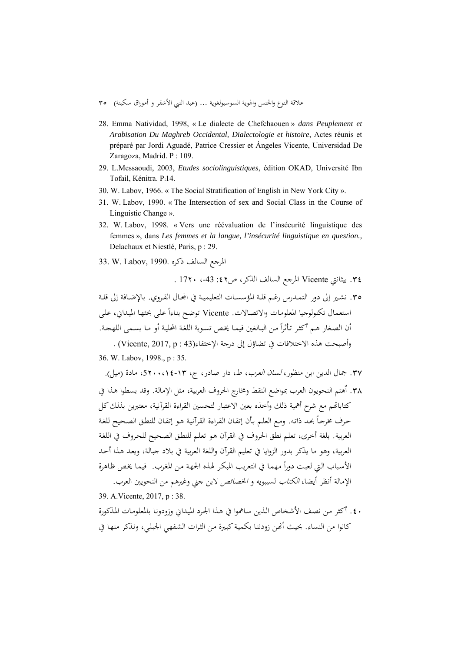- علاقة النوع والجنس والهوية السوسيولغوية ... (عبد النبي الأشقر و أموراق سكينة) 35
- 28. Emma Natividad, 1998, « Le dialecte de Chefchaouen » *dans Peuplement et Arabisation Du Maghreb Occidental, Dialectologie et histoire*, Actes réunis et préparé par Jordi Aguadé, Patrice Cressier et Ángeles Vicente, Universidad De Zaragoza, Madrid. P : 109.
- 29. L.Messaoudi, 2003, *Etudes sociolinguistiques*, édition OKAD, Université Ibn Tofail, Kénitra. P:14.
- 30. W. Labov, 1966. « The Social Stratification of English in New York City ».
- 31. W. Labov, 1990. « The Intersection of sex and Social Class in the Course of Linguistic Change ».
- 32. W. Labov, 1998. « Vers une réévaluation de l'insécurité linguistique des femmes », dans *Les femmes et la langue, l'insécurité linguistique en question.,* Delachaux et Niestlé, Paris, p : 29.
- المرجع السالف ذكره .1990 .W. Labov

.34 بيثانتي Vicente المرجع السالف الذكر، ص:42 ،-43 1720 .

.35 نشـير إلى دور التمـدرس رغـم قلـة المؤسســات التعليميـة في اجملـال القـروي. بالإضـافة إلى قلــة استعمال تكنولوجيا المعلومات والاتصالات. Vicente توضح بناءاً على بحثها الميداني، على أن الصغار هـم أكثـر تـأثراً مـن البـالغين فيمـا يخص تسـوية اللغـة المحليـة أو مـا يسـمى اللهـجـة.

وأصبحت هذه الاختلافات في تضاؤل إلى درجة الاختفاء(43 : Vicente, 2017, p . 36. W. Labov, 1998., p : 35.

٣٧. جمال الدين ابن منظور، *لسان العرب*، ط، دار صادر، ج، ١٣-١٤-5٢.01، مادة (ميل).

٣٨. أهتم النحويون العرب بمواضع النقط ومخارج الحروف العربية، مثل الإمالة. وقد بسطوا هـذا في كتاباتهم مع شرح أهمية ذلك وأخذه بعين الاعتبار لتحسين القراءة القرآنية، معتبرين بذلك كل حرف مخرجـاً بحـد ذاتـه. ومـع العلـم بـأن إتقـان القـراءة القرآنيـة هـو إتقـان للنطـق الصـحيح للغـة العربية. بلغة أخرى، تعلم نطق الحروف في القرآن هـو تعلـم للنطـق الصـحيح للحـروف في اللغـة العربية، وهو ما يذكر بدور الزوايا في تعليم القرآن واللغة العربية في بلاد جبالة، ويعـد هـذا أحـد الأسباب التي لعبت دوراً مهمـا في التعريب المبكر لهـذه الجـهـة مـن المغرب. فيمـا يخص ظـاهرة الإمالة أنظر أيضا، الكتاب لسيبويه و الخصائص لابن جني وغيرهم من النحويين العرب.

39. A.Vicente, 2017, p : 38.

.40 أكثر مـن نصـف الأشـخاص الـذين سـاهموا في هـذا الجـرد الميـداني وزودونـا بالمعلومـات المـذكورة كانوا من النساء. بحيث أنحن زودننا بكمية كبيرة من الثرات الشفهي الجبلبي، ونذكر منهـا في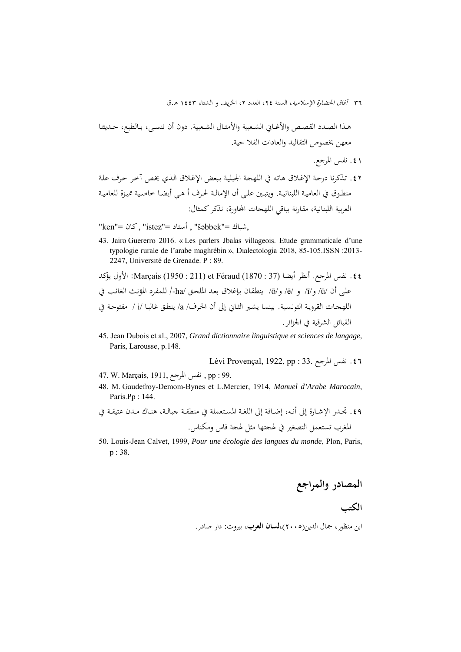هــذا الصــدد القصــص والأغــاني الشــعبية والأمثــال الشــعبية. دون أن ننســى، بــالطبع، حــديثنا معهن بخصوص التقاليد والعادات الفلا حية.

.41 نفس المرجع.

.42 تـذكرنا درجـة الإغـلاق هاتـه في اللهجـة الجبليـة بـبعض الإغـلاق الـذي يخـص آخـر حـرف علـة منطـوق في العاميـة اللبنانيـة. ويتبـين علـى أن الإمالـة لحـرف أ هـي أيضـا خاصـية مميـزة للعاميـة العربية اللبنانية، مقارنة بباقي اللهجات اجملاورة، نذكركمثال:

,شباك ="šǝbbek ", أستاذ ="istez ",كان ="ken"

43. Jairo Guererro 2016. « Les parlers Jbalas villageois. Etude grammaticale d'une typologie rurale de l'arabe maghrébin », Dialectologia 2018, 85-105.ISSN :2013- 2247, Université de Grenade. P : 89.

.44 نفس المرجع. أنظر أيضا (37 : 1870) Féraud et) 211 : 1950 (Marçais: الأول يؤكد علـى أن /ū/ و/ī/ و /ē/ و/ō/ ينطقـان بـإغلاق بعـد الملحـق /ha/- للمفـرد المؤنـث الغائـب في اللهجـات القرويـة التونسـية. بينمـا يشـير الثـاني إلى أن الحـرف/ a/ ينطـق غالبـا /i / مفتوحـة في القبائل الشرقية في الجزائر.

45. Jean Dubois et al., 2007, *Grand dictionnaire linguistique et sciences de langage*, Paris, Larousse, p.148.

Lévi Provençal, 1922, pp : 33. المرجع نفس .46

- 47. W. Marçais, 1911, المرجع نفس , pp : 99.
- 48. M. Gaudefroy-Demom-Bynes et L.Mercier, 1914, *Manuel d'Arabe Marocain*, Paris.Pp : 144.
- .49 تجــدر الإشــارة إلى أنــه، إضــافة إلى اللغــة المســتعملة في منطقــة جبالــة، هنــاك مــدن عتيقــة في المغرب تستعمل التصغير في لهجتها مثل لهجة فاس ومكناس.
- 50. Louis-Jean Calvet, 1999, *Pour une écologie des langues du monde*, Plon, Paris, p : 38.

**المصادر والمراجع** 

# **الکتب**

ابن منظور، جمال الدين(2005)،**لسان العرب**، بيروت: دار صادر.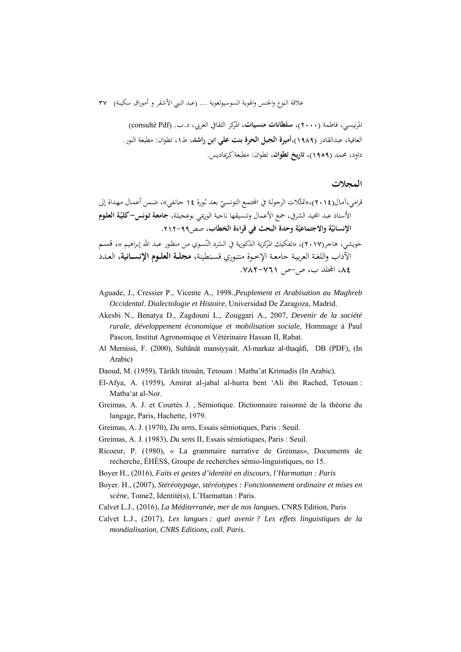المرنيسي، فاطمة (2000)، **سلطانات منسيات**، المركز الثقافي العربي، د.ب. (Pdf consulté( العافية، عبدالقادر (1989)،**أميرة الجبل الحرة بنت علي ابن راشد**، ط،1 تطوان: مطبعة النور. داود، محمد (1959)، **تاريخ تطوان**، تطوان: مطبعةكريماديس.

### **المجلات**

قرامي،آمـال(2015)،«تمثّلات الرجولـة في المجتمـع التونسـيّ بعد ثـورة 12 جـانفـي»، ضـمن أعـمـال مـهـداة إلى<br>سئة مسنة **ّ** الأستاذ عبد اجمليد الشرفي، جمع الأعمال وتنسيقها ناجية الوريمي بوعجيلـة، **جامعـة تـونس- ـة العلـوم كلي** الإنسانيّة والاجتماعيّة وحدة البحث في قراءة الخطاب، صص٩٩-٢١٢. حويشي، هاجر(٢٠١٧)، «تفكيك المركزية الذكورية في السّرد النّسوي من منظور عبد الله إبراهيم »، قسـم<br>ستمتح س الآداب واللغـة العربيـة جامعـة الإخــوة منتــوري قسـنطينة، **مجلــة العلــوم الإنســانية**، العــدد ،84 اجمللد ب، ص-ص .782-761

- Aguade, J., Cressier P., Vicente A., 1998.,*Peuplement et Arabisation au Maghreb Occidental. Dialectologie et Histoire*, Universidad De Zaragoza, Madrid.
- Akesbi N., Benatya D., Zagdouni L., Zouggari A., 2007, *Devenir de la société rurale, développement économique et mobilisation sociale,* Hommage à Paul Pascon, Institut Agronomique et Vétérinaire Hassan II, Rabat.
- Al Mernissi, F. (2000), Sultânât mansiyyaât. Al-markaz al-thaqâfi, DB (PDF), (In Arabic)
- Daoud, M. (1959), Târikh titouân, Tetouan : Matba'at Krimadis (In Arabic).
- El-Afya, A. (1959), Amirat al-jabal al-hurra bent 'Ali ibn Rached, Tetouan : Matba'at al-Nor.
- Greimas, A. J. et Courtés J. , Sémiotique. Dictionnaire raisonné de la théorie du langage, Paris, Hachette, 1979.
- Greimas, A. J. (1970), *Du sens*, Essais sémiotiques, Paris : Seuil.
- Greimas, A. J. (1983), *Du sens* II, Essais sémiotiques, Paris : Seuil.
- Ricoeur, P. (1980), « La grammaire narrative de Greimas», Documents de recherche, ÉHÉSS, Groupe de recherches sémio-linguistiques, no 15.
- Boyer H*.,* (2016), *Faits et gestes d'identité en discours, l'Harmattan : Paris*
- Boyer. H., (2007), *Stéréotypage, stéréotypes : Fonctionnement ordinaire et mises en scène*, Tome2, Identité(s), L'Harmattan : Paris.
- Calvet L.J., (2016), *La Méditerranée, mer de nos langues*, CNRS Edition, Paris
- Calvet L.J., (2017), *Les langues : quel avenir ? Les effets linguistiques de la mondialisation, CNRS Editions, coll. Paris.*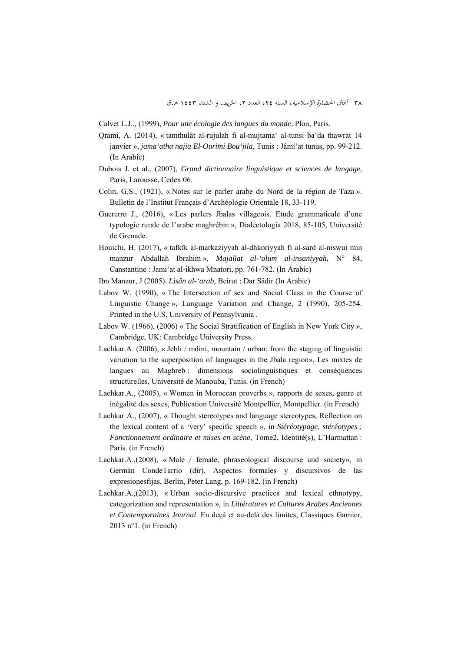- Calvet L.J.., (1999), *Pour une écologie des langues du monde*, Plon, Paris.
- Qrami, A. (2014), « tamthulât al-rujulah fi al-mujtama' al-tunsi ba'da thawrat 14 janvier », *jama'atha najia El-Ourimi Bou'jila*, Tunis : Jâmi'at tunus, pp. 99-212. (In Arabic)
- Dubois J. et al., (2007), *Grand dictionnaire linguistique et sciences de langage*, Paris, Larousse, Cedex 06.
- Colin, G.S., (1921), « Notes sur le parler arabe du Nord de la région de Taza ». Bulletin de l'Institut Français d'Archéologie Orientale 18, 33-119.
- Guererro J., (2016), « Les parlers Jbalas villageois. Etude grammaticale d'une typologie rurale de l'arabe maghrébin », Dialectologia 2018, 85-105, Université de Grenade.
- Houichi, H. (2017), « tafkîk al-markaziyyah al-dhkoriyyah fi al-sard al-niswui min manzur Abdallah Ibrahim », *Majallat al-'olum al-insaniyyah*, N° 84, Canstantine : Jami'at al-ikhwa Mnatori, pp. 761-782. (In Arabic)
- Ibn Manzur, J (2005). *L*i*sân al-'arab*, Beirut : Dar Sâdir (In Arabic)
- Labov W. (1990), « The Intersection of sex and Social Class in the Course of Linguistic Change », Language Variation and Change, 2 (1990), 205-254. Printed in the U.S, University of Pennsylvania .
- Labov W. (1966), (2006) « The Social Stratification of English in New York City », Cambridge, UK: Cambridge University Press.
- Lachkar.A. (2006), « Jebli / mdini, mountain / urban: from the staging of linguistic variation to the superposition of languages in the Jbala region», Les mixtes de langues au Maghreb : dimensions sociolinguistiques et conséquences structurelles, Université de Manouba, Tunis. (in French)
- Lachkar.A., (2005), « Women in Moroccan proverbs », rapports de sexes, genre et inégalité des sexes, Publication Université Montpellier, Montpellier. (in French)
- Lachkar A., (2007), « Thought stereotypes and language stereotypes, Reflection on the lexical content of a 'very' specific speech », in *Stéréotypage, stéréotypes : Fonctionnement ordinaire et mises en scène*, Tome2, Identité(s), L'Harmattan : Paris. (in French)
- Lachkar.A.,(2008), « Male / female, phraseological discourse and society», in Germàn CondeTarrio (dir), Aspectos formales y discursivos de las expresionesfijas, Berlin, Peter Lang, p. 169-182. (in French)
- Lachkar.A.,(2013), « Urban socio-discursive practices and lexical ethnotypy, categorization and representation », in *Littératures et Cultures Arabes Anciennes et Contemporaines Journal*. En deçà et au-delà des limites, Classiques Garnier, 2013 n°1. (in French)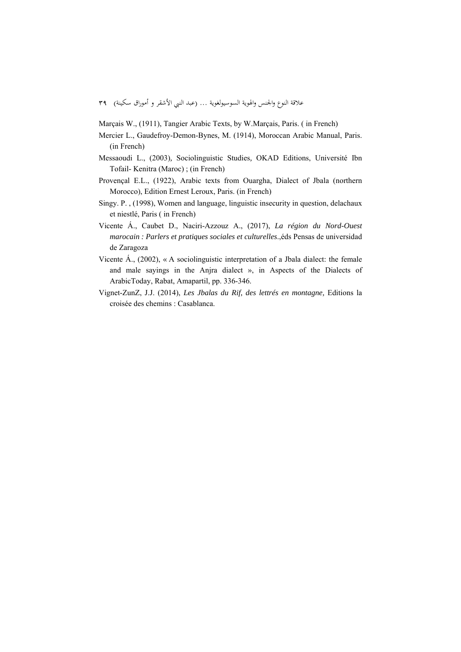Marçais W., (1911), Tangier Arabic Texts, by W.Marçais, Paris. ( in French)

- Mercier L., Gaudefroy-Demon-Bynes, M. (1914), Moroccan Arabic Manual, Paris. (in French)
- Messaoudi L., (2003)*,* Sociolinguistic Studies*,* OKAD Editions, Université Ibn Tofail- Kenitra (Maroc) ; (in French)
- Provençal E.L., (1922), Arabic texts from Ouargha, Dialect of Jbala (northern Morocco), Edition Ernest Leroux, Paris. (in French)
- Singy. P. , (1998), Women and language, linguistic insecurity in question, delachaux et niestlé, Paris ( in French)
- Vicente Á., Caubet D., Naciri-Azzouz A., (2017), *La région du Nord-Ouest marocain : Parlers et pratiques sociales et culturelles*.,éds Pensas de universidad de Zaragoza
- Vicente Á., (2002), « A sociolinguistic interpretation of a Jbala dialect: the female and male sayings in the Anjra dialect », in Aspects of the Dialects of ArabicToday, Rabat, Amapartil, pp. 336-346.
- Vignet-ZunZ, J.J. (2014), *Les Jbalas du Rif, des lettrés en montagne,* Editions la croisée des chemins : Casablanca.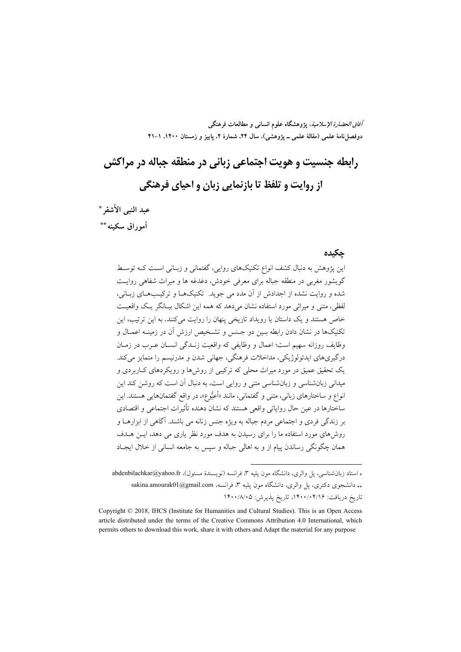**آفاق الحضارة الإسلامية، پژوهشگاه علوم انساني و مطالعات فرهنگي**  دوفصل نامهٔ علمی (مقالهٔ علمی \_ یژوهشی)، سال ۲۴، شمارهٔ ۲، پاییز و زمستان ۱۴۰۰، ۱–۴۱

# **رابطه جنسيت و هويت اجتماعي زباني در منطقه جباله در مراكش از روايت و تلفظ تا بازنمايي زبان و احياي فرهنگي**

**عبد النبي الأشقر**٥\* **أموراق سكينه**٦\*\*

### **چكيده**

اين پژوهش به دنبال كشف انواع تكنيكهاي روايي، گفتماني و زبـاني اسـت كـه توسـط گويشور مغربي در منطقه جباله براي معرفي خودش، دغدغه ها و ميراث شفاهي روايـت شده و روايت نشده از اجدادش از آن مدد مي جويد. تكنيكهـا و تركيـبهـاي زبـاني، لفظي، متني و ميراثي مورد استفاده نشان ميدهد كه همه اين اشكال بيـانگر يـك واقعيـت خاص هستند و يك داستان يا رويداد تاريخي پنهان را روايت ميكنند. به اين ترتيب، اين تكنيكها در نشان دادن رابطه بـين دو جـنس و تشـخيص ارزش آن در زمينـه اعمـال و وظايف روزانه سهيم است؛ اعمال و وظايفي كه واقعيت زنـدگي انسـان عـرب در زمـان درگيريهاي ايدئولوژيكي، مداخلات فرهنگي، جهاني شدن و مدرنيسم را متمايز ميكند. يك تحقيق عميق در مورد ميراث محلي كه تركيبي از روشها و رويكردهاي كـاربردي و ميداني زبانشناسي و زبانشناسي متني و روايي است، به دنبال آن است كه روشن كند اين انواع و ساختارهاي زباني، متني و گفتماني، مانند «أعيوع»، در واقع گفتمانهايي هستند. اين ساختارها در عين حال رواياتي واقعي هستند كه نشان دهنده تأثيرات اجتماعي و اقتصادي بر زندگي فردي و اجتماعي مردم جباله به ويژه جنس زنانه مي باشند. آگاهي از ابزارهـا و روشهاي مورد استفاده ما را براي رسيدن به هدف مورد نظر ياري مي دهد، ايـن هـدف همان چگونگي رساندن پيام از و به اهالي جباله و سپس به جامعه انساني از خلال ايجـاد

.

استاد زبانشناسي، پل والري، دانشگاه مون پليه ،3 فرانسه (نويسندة مسئول)، fr.yahoo@abdenbilachkar \*\* دانشجوي دكتري، پل والري، دانشگاه مون پليه ٣، فرانسه، sakina.amourak01@gmail.com تاريخ دريافت: ١۴٠٠/٠۴/١۶، تاريخ پذيرش: ١۴٠٠/٨/٠٥

Copyright © 2018, IHCS (Institute for Humanities and Cultural Studies). This is an Open Access article distributed under the terms of the Creative Commons Attribution 4.0 International, which permits others to download this work, share it with others and Adapt the material for any purpose